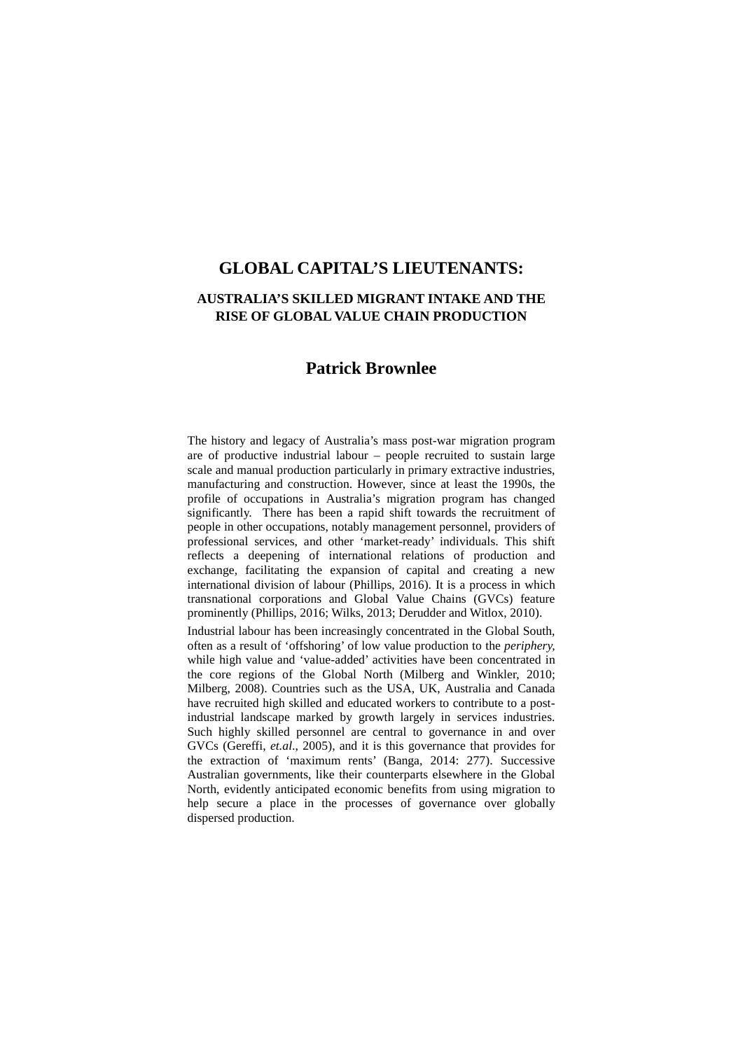# **AUSTRALIA'S SKILLED MIGRANT INTAKE AND THE RISE OF GLOBAL VALUE CHAIN PRODUCTION**

# **Patrick Brownlee**

The history and legacy of Australia's mass post-war migration program are of productive industrial labour – people recruited to sustain large scale and manual production particularly in primary extractive industries, manufacturing and construction. However, since at least the 1990s, the profile of occupations in Australia's migration program has changed significantly. There has been a rapid shift towards the recruitment of people in other occupations, notably management personnel, providers of professional services, and other 'market-ready' individuals. This shift reflects a deepening of international relations of production and exchange, facilitating the expansion of capital and creating a new international division of labour (Phillips, 2016). It is a process in which transnational corporations and Global Value Chains (GVCs) feature prominently (Phillips, 2016; Wilks, 2013; Derudder and Witlox, 2010).

Industrial labour has been increasingly concentrated in the Global South, often as a result of 'offshoring' of low value production to the *periphery,* while high value and 'value-added' activities have been concentrated in the core regions of the Global North (Milberg and Winkler, 2010; Milberg, 2008). Countries such as the USA, UK, Australia and Canada have recruited high skilled and educated workers to contribute to a postindustrial landscape marked by growth largely in services industries. Such highly skilled personnel are central to governance in and over GVCs (Gereffi, *et.al*., 2005), and it is this governance that provides for the extraction of 'maximum rents' (Banga, 2014: 277). Successive Australian governments, like their counterparts elsewhere in the Global North, evidently anticipated economic benefits from using migration to help secure a place in the processes of governance over globally dispersed production.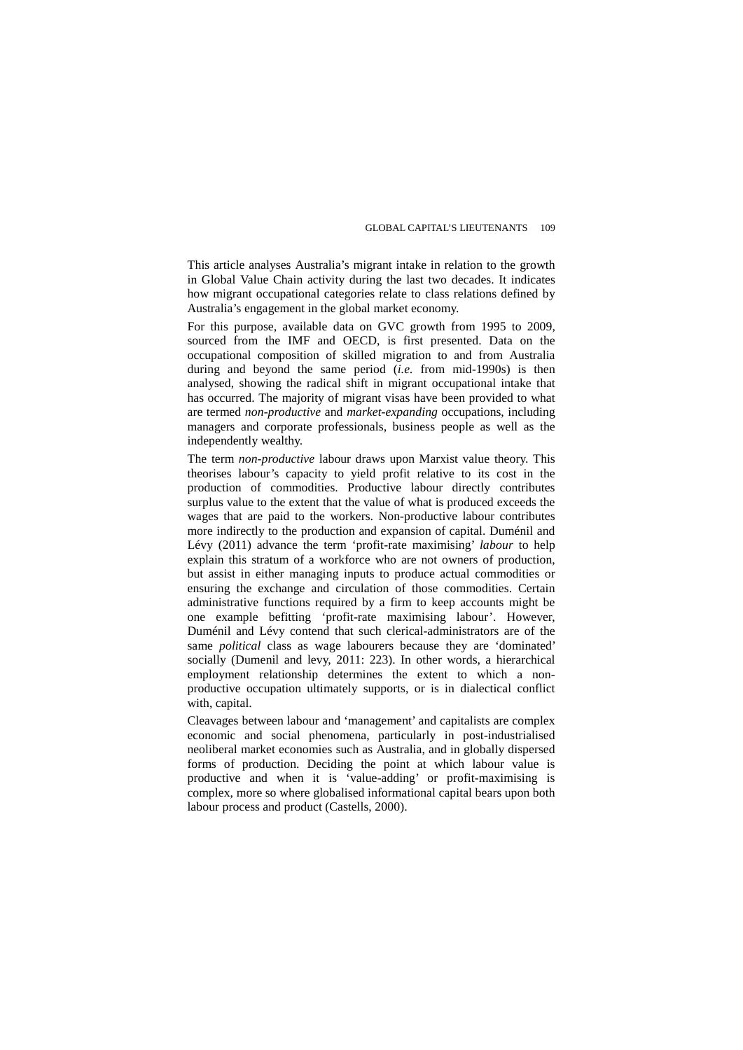This article analyses Australia's migrant intake in relation to the growth in Global Value Chain activity during the last two decades. It indicates how migrant occupational categories relate to class relations defined by Australia's engagement in the global market economy.

For this purpose, available data on GVC growth from 1995 to 2009, sourced from the IMF and OECD, is first presented. Data on the occupational composition of skilled migration to and from Australia during and beyond the same period (*i.e.* from mid-1990s) is then analysed, showing the radical shift in migrant occupational intake that has occurred. The majority of migrant visas have been provided to what are termed *non-productive* and *market-expanding* occupations, including managers and corporate professionals, business people as well as the independently wealthy.

The term *non-productive* labour draws upon Marxist value theory. This theorises labour's capacity to yield profit relative to its cost in the production of commodities. Productive labour directly contributes surplus value to the extent that the value of what is produced exceeds the wages that are paid to the workers. Non-productive labour contributes more indirectly to the production and expansion of capital. Duménil and Lévy (2011) advance the term 'profit-rate maximising' *labour* to help explain this stratum of a workforce who are not owners of production, but assist in either managing inputs to produce actual commodities or ensuring the exchange and circulation of those commodities. Certain administrative functions required by a firm to keep accounts might be one example befitting 'profit-rate maximising labour'. However, Duménil and Lévy contend that such clerical-administrators are of the same *political* class as wage labourers because they are 'dominated' socially (Dumenil and levy, 2011: 223). In other words, a hierarchical employment relationship determines the extent to which a nonproductive occupation ultimately supports, or is in dialectical conflict with, capital.

Cleavages between labour and 'management' and capitalists are complex economic and social phenomena, particularly in post-industrialised neoliberal market economies such as Australia, and in globally dispersed forms of production. Deciding the point at which labour value is productive and when it is 'value-adding' or profit-maximising is complex, more so where globalised informational capital bears upon both labour process and product (Castells, 2000).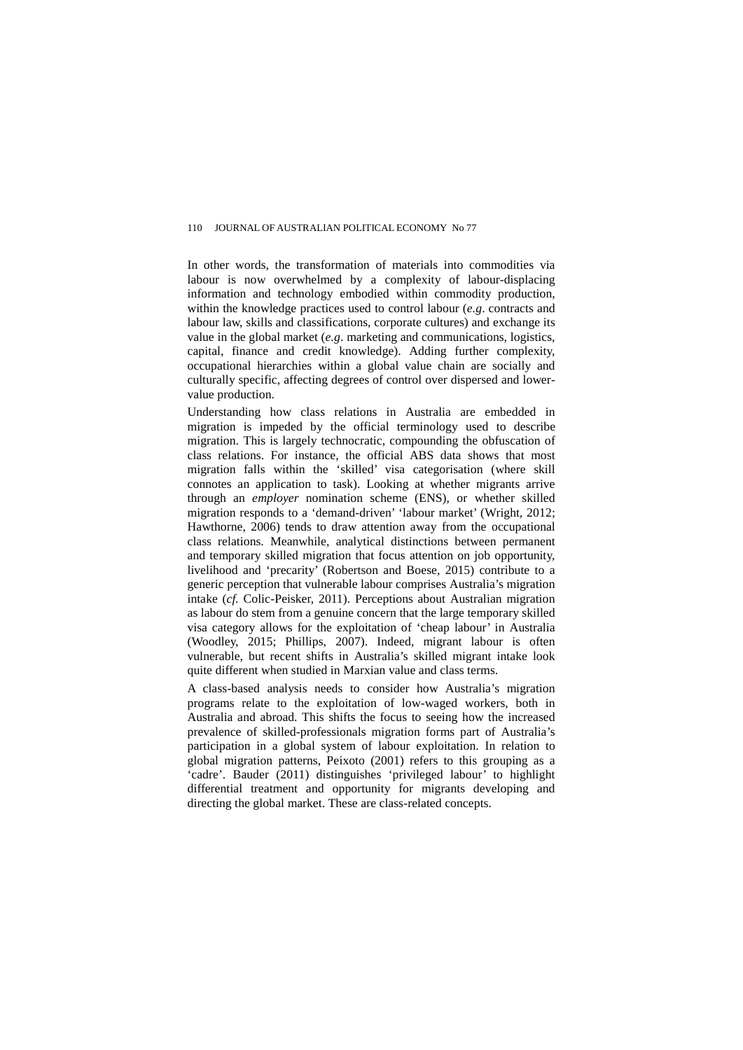In other words, the transformation of materials into commodities via labour is now overwhelmed by a complexity of labour-displacing information and technology embodied within commodity production, within the knowledge practices used to control labour (*e.g*. contracts and labour law, skills and classifications, corporate cultures) and exchange its value in the global market (*e.g*. marketing and communications, logistics, capital, finance and credit knowledge). Adding further complexity, occupational hierarchies within a global value chain are socially and culturally specific, affecting degrees of control over dispersed and lowervalue production.

Understanding how class relations in Australia are embedded in migration is impeded by the official terminology used to describe migration. This is largely technocratic, compounding the obfuscation of class relations. For instance, the official ABS data shows that most migration falls within the 'skilled' visa categorisation (where skill connotes an application to task). Looking at whether migrants arrive through an *employer* nomination scheme (ENS), or whether skilled migration responds to a 'demand-driven' 'labour market' (Wright, 2012; Hawthorne, 2006) tends to draw attention away from the occupational class relations. Meanwhile, analytical distinctions between permanent and temporary skilled migration that focus attention on job opportunity, livelihood and 'precarity' (Robertson and Boese, 2015) contribute to a generic perception that vulnerable labour comprises Australia's migration intake (*cf.* Colic-Peisker, 2011). Perceptions about Australian migration as labour do stem from a genuine concern that the large temporary skilled visa category allows for the exploitation of 'cheap labour' in Australia (Woodley, 2015; Phillips, 2007). Indeed, migrant labour is often vulnerable, but recent shifts in Australia's skilled migrant intake look quite different when studied in Marxian value and class terms.

A class-based analysis needs to consider how Australia's migration programs relate to the exploitation of low-waged workers, both in Australia and abroad. This shifts the focus to seeing how the increased prevalence of skilled-professionals migration forms part of Australia's participation in a global system of labour exploitation. In relation to global migration patterns, Peixoto (2001) refers to this grouping as a 'cadre'. Bauder (2011) distinguishes 'privileged labour' to highlight differential treatment and opportunity for migrants developing and directing the global market. These are class-related concepts.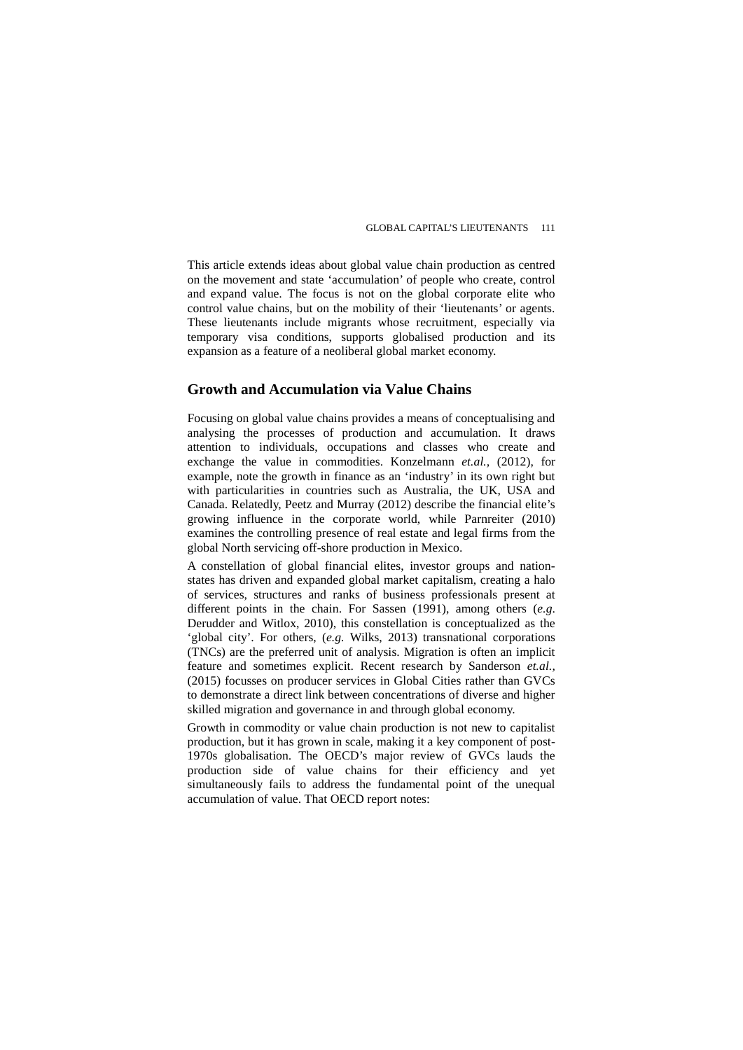This article extends ideas about global value chain production as centred on the movement and state 'accumulation' of people who create, control and expand value. The focus is not on the global corporate elite who control value chains, but on the mobility of their 'lieutenants' or agents. These lieutenants include migrants whose recruitment, especially via temporary visa conditions, supports globalised production and its expansion as a feature of a neoliberal global market economy.

# **Growth and Accumulation via Value Chains**

Focusing on global value chains provides a means of conceptualising and analysing the processes of production and accumulation. It draws attention to individuals, occupations and classes who create and exchange the value in commodities. Konzelmann *et.al.,* (2012), for example, note the growth in finance as an 'industry' in its own right but with particularities in countries such as Australia, the UK, USA and Canada. Relatedly, Peetz and Murray (2012) describe the financial elite's growing influence in the corporate world, while Parnreiter (2010) examines the controlling presence of real estate and legal firms from the global North servicing off-shore production in Mexico.

A constellation of global financial elites, investor groups and nationstates has driven and expanded global market capitalism, creating a halo of services, structures and ranks of business professionals present at different points in the chain. For Sassen (1991), among others (*e.g*. Derudder and Witlox, 2010), this constellation is conceptualized as the 'global city'. For others, (*e.g.* Wilks, 2013) transnational corporations (TNCs) are the preferred unit of analysis. Migration is often an implicit feature and sometimes explicit. Recent research by Sanderson *et.al.,*  (2015) focusses on producer services in Global Cities rather than GVCs to demonstrate a direct link between concentrations of diverse and higher skilled migration and governance in and through global economy.

Growth in commodity or value chain production is not new to capitalist production, but it has grown in scale, making it a key component of post-1970s globalisation. The OECD's major review of GVCs lauds the production side of value chains for their efficiency and yet simultaneously fails to address the fundamental point of the unequal accumulation of value. That OECD report notes: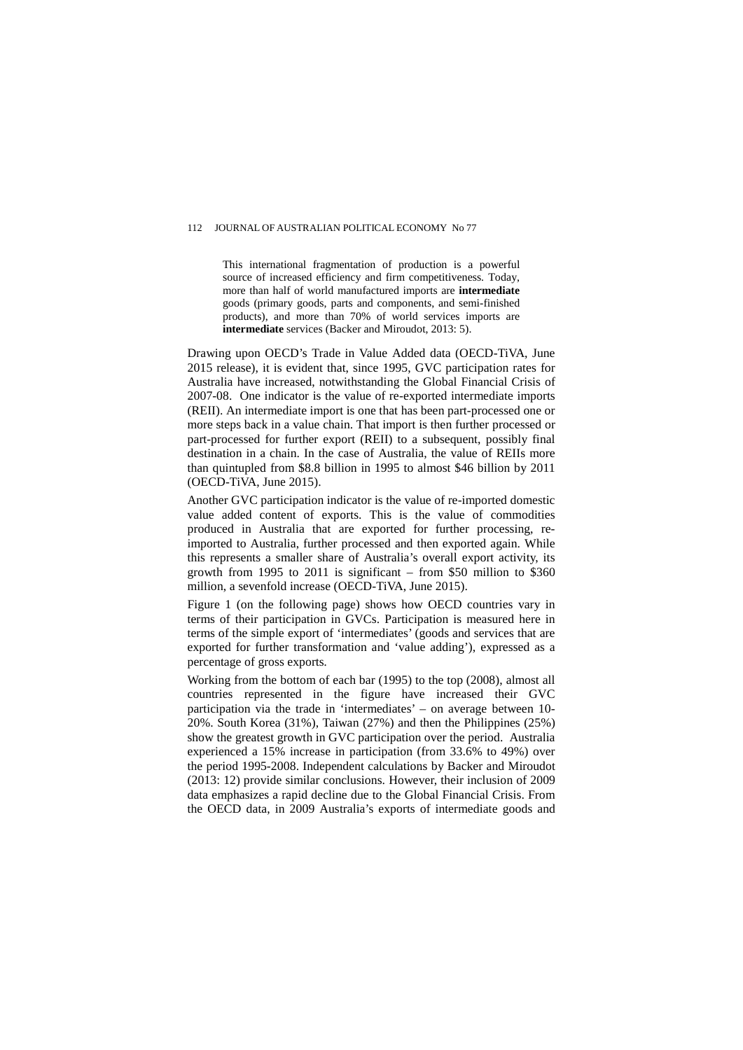This international fragmentation of production is a powerful source of increased efficiency and firm competitiveness. Today, more than half of world manufactured imports are **intermediate** goods (primary goods, parts and components, and semi-finished products), and more than 70% of world services imports are **intermediate** services (Backer and Miroudot, 2013: 5).

Drawing upon OECD's Trade in Value Added data (OECD-TiVA, June 2015 release), it is evident that, since 1995, GVC participation rates for Australia have increased, notwithstanding the Global Financial Crisis of 2007-08. One indicator is the value of re-exported intermediate imports (REII). An intermediate import is one that has been part-processed one or more steps back in a value chain. That import is then further processed or part-processed for further export (REII) to a subsequent, possibly final destination in a chain. In the case of Australia, the value of REIIs more than quintupled from \$8.8 billion in 1995 to almost \$46 billion by 2011 (OECD-TiVA, June 2015).

Another GVC participation indicator is the value of re-imported domestic value added content of exports. This is the value of commodities produced in Australia that are exported for further processing, reimported to Australia, further processed and then exported again. While this represents a smaller share of Australia's overall export activity, its growth from 1995 to 2011 is significant – from \$50 million to \$360 million, a sevenfold increase (OECD-TiVA, June 2015).

Figure 1 (on the following page) shows how OECD countries vary in terms of their participation in GVCs. Participation is measured here in terms of the simple export of 'intermediates' (goods and services that are exported for further transformation and 'value adding'), expressed as a percentage of gross exports*.* 

Working from the bottom of each bar (1995) to the top (2008), almost all countries represented in the figure have increased their GVC participation via the trade in 'intermediates' – on average between 10- 20%. South Korea (31%), Taiwan (27%) and then the Philippines (25%) show the greatest growth in GVC participation over the period. Australia experienced a 15% increase in participation (from 33.6% to 49%) over the period 1995-2008. Independent calculations by Backer and Miroudot (2013: 12) provide similar conclusions. However, their inclusion of 2009 data emphasizes a rapid decline due to the Global Financial Crisis. From the OECD data, in 2009 Australia's exports of intermediate goods and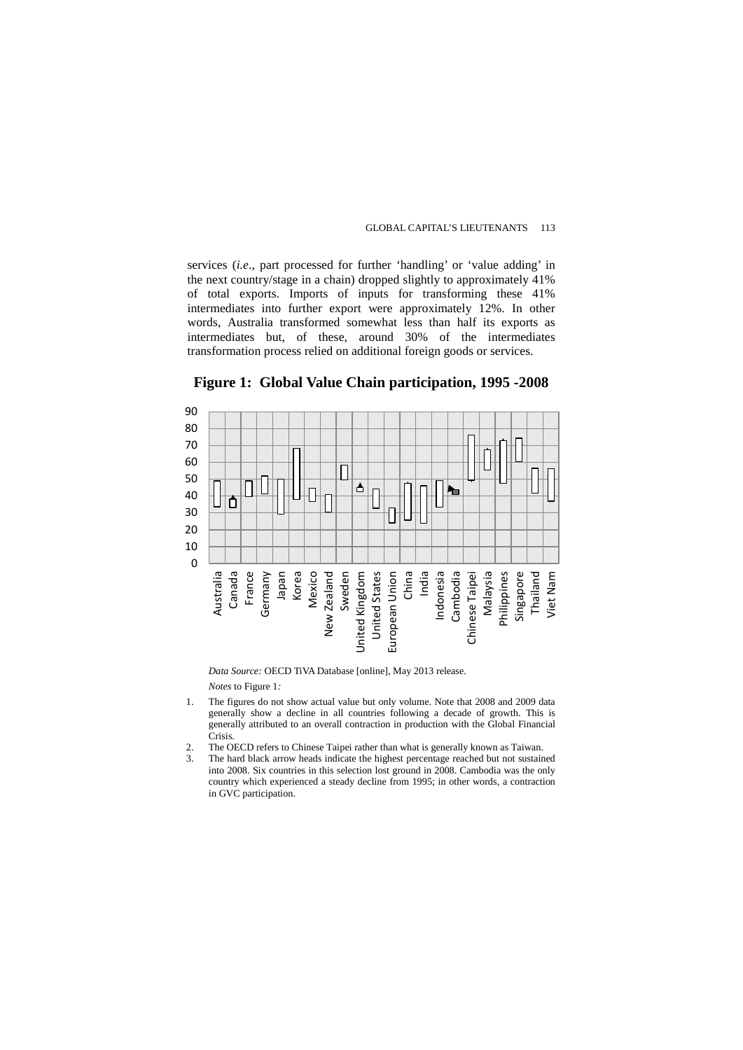services (*i.e*., part processed for further 'handling' or 'value adding' in the next country/stage in a chain) dropped slightly to approximately 41% of total exports. Imports of inputs for transforming these 41% intermediates into further export were approximately 12%. In other words, Australia transformed somewhat less than half its exports as intermediates but, of these, around 30% of the intermediates transformation process relied on additional foreign goods or services.



### **Figure 1: Global Value Chain participation, 1995 -2008**

*Data Source:* OECD TiVA Database [online], May 2013 release.

*Notes* to Figure 1*:* 

- 1. The figures do not show actual value but only volume. Note that 2008 and 2009 data generally show a decline in all countries following a decade of growth. This is generally attributed to an overall contraction in production with the Global Financial Crisis.
- 2. The OECD refers to Chinese Taipei rather than what is generally known as Taiwan.<br>3. The hard black arrow heads indicate the highest percentage reached but not sustain
- The hard black arrow heads indicate the highest percentage reached but not sustained into 2008. Six countries in this selection lost ground in 2008. Cambodia was the only country which experienced a steady decline from 1995; in other words, a contraction in GVC participation.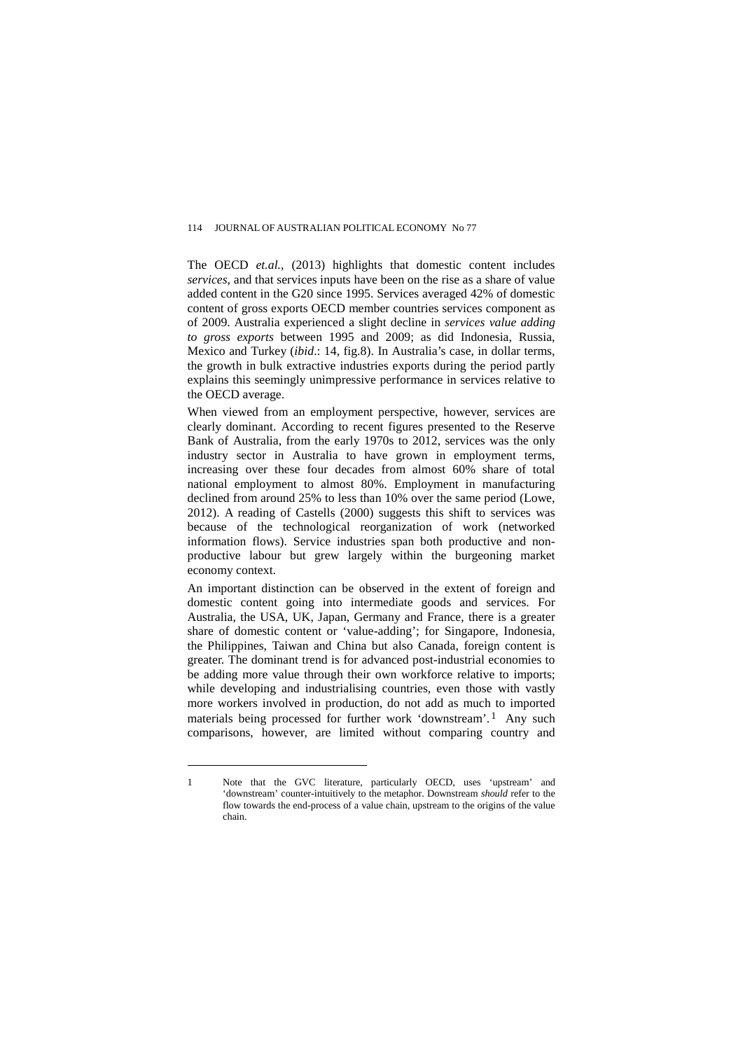The OECD *et.al.,* (2013) highlights that domestic content includes *services*, and that services inputs have been on the rise as a share of value added content in the G20 since 1995. Services averaged 42% of domestic content of gross exports OECD member countries services component as of 2009. Australia experienced a slight decline in *services value adding to gross exports* between 1995 and 2009; as did Indonesia, Russia, Mexico and Turkey (*ibid*.: 14, fig.8). In Australia's case, in dollar terms, the growth in bulk extractive industries exports during the period partly explains this seemingly unimpressive performance in services relative to the OECD average.

When viewed from an employment perspective, however, services are clearly dominant. According to recent figures presented to the Reserve Bank of Australia, from the early 1970s to 2012, services was the only industry sector in Australia to have grown in employment terms, increasing over these four decades from almost 60% share of total national employment to almost 80%. Employment in manufacturing declined from around 25% to less than 10% over the same period (Lowe, 2012). A reading of Castells (2000) suggests this shift to services was because of the technological reorganization of work (networked information flows). Service industries span both productive and nonproductive labour but grew largely within the burgeoning market economy context.

An important distinction can be observed in the extent of foreign and domestic content going into intermediate goods and services. For Australia, the USA, UK, Japan, Germany and France, there is a greater share of domestic content or 'value-adding'; for Singapore, Indonesia, the Philippines, Taiwan and China but also Canada, foreign content is greater. The dominant trend is for advanced post-industrial economies to be adding more value through their own workforce relative to imports; while developing and industrialising countries, even those with vastly more workers involved in production, do not add as much to imported materials being processed for further work 'downstream'.<sup>[1](#page-6-0)</sup> Any such comparisons, however, are limited without comparing country and

 $\overline{a}$ 

<span id="page-6-0"></span><sup>1</sup> Note that the GVC literature, particularly OECD, uses 'upstream' and 'downstream' counter-intuitively to the metaphor. Downstream *should* refer to the flow towards the end-process of a value chain, upstream to the origins of the value chain.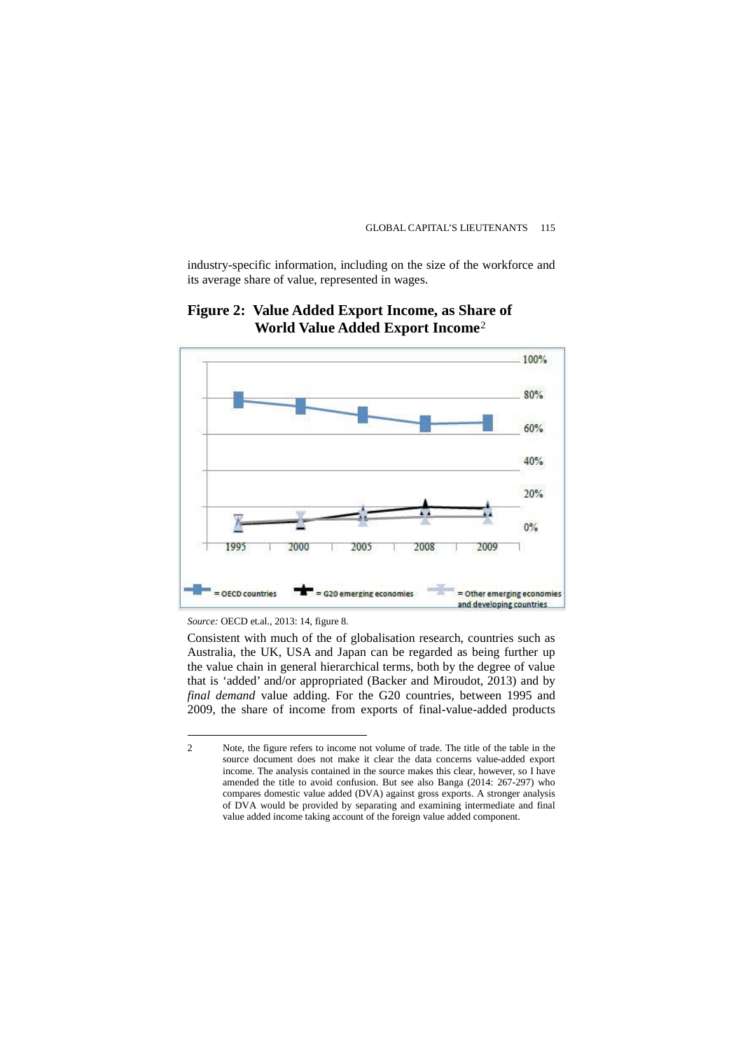industry-specific information, including on the size of the workforce and its average share of value, represented in wages.



# **Figure 2: Value Added Export Income, as Share of World Value Added Export Income**[2](#page-7-0)

*Source:* OECD et.al., 2013: 14, figure 8*.* 

 $\overline{a}$ 

Consistent with much of the of globalisation research, countries such as Australia, the UK, USA and Japan can be regarded as being further up the value chain in general hierarchical terms, both by the degree of value that is 'added' and/or appropriated (Backer and Miroudot, 2013) and by *final demand* value adding. For the G20 countries, between 1995 and 2009, the share of income from exports of final-value-added products

<span id="page-7-0"></span><sup>2</sup> Note, the figure refers to income not volume of trade. The title of the table in the source document does not make it clear the data concerns value-added export income. The analysis contained in the source makes this clear, however, so I have amended the title to avoid confusion. But see also Banga (2014: 267-297) who compares domestic value added (DVA) against gross exports. A stronger analysis of DVA would be provided by separating and examining intermediate and final value added income taking account of the foreign value added component.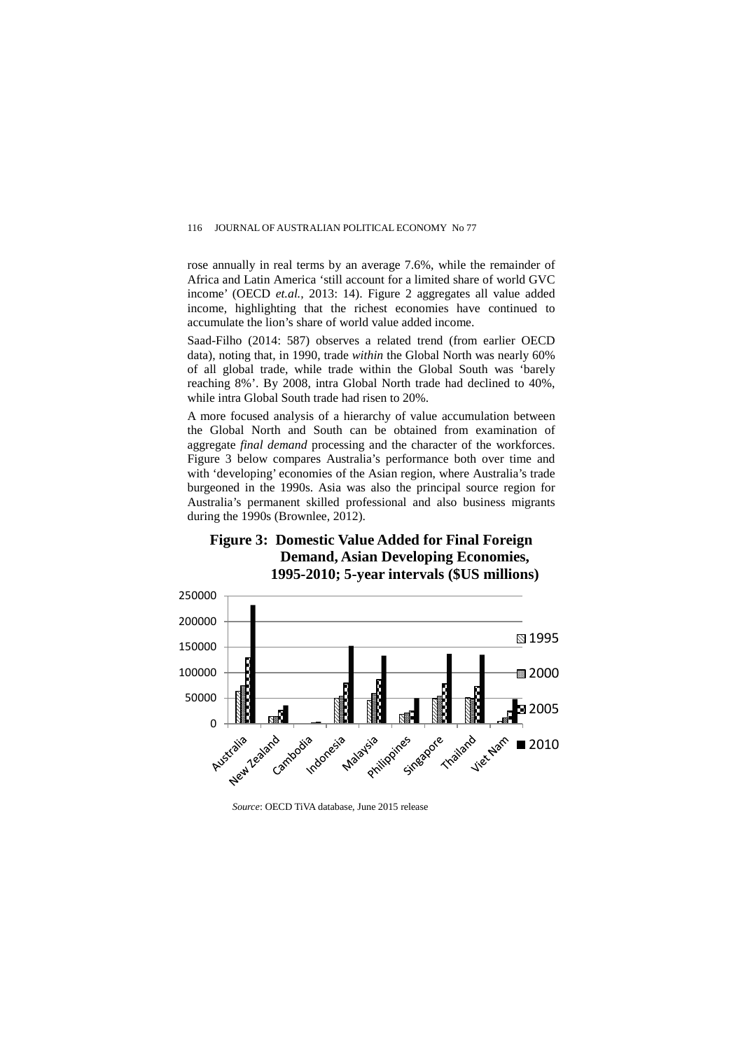rose annually in real terms by an average 7.6%, while the remainder of Africa and Latin America 'still account for a limited share of world GVC income' (OECD *et.al.,* 2013: 14). Figure 2 aggregates all value added income, highlighting that the richest economies have continued to accumulate the lion's share of world value added income.

Saad-Filho (2014: 587) observes a related trend (from earlier OECD data), noting that, in 1990, trade *within* the Global North was nearly 60% of all global trade, while trade within the Global South was 'barely reaching 8%'. By 2008, intra Global North trade had declined to 40%, while intra Global South trade had risen to 20%.

A more focused analysis of a hierarchy of value accumulation between the Global North and South can be obtained from examination of aggregate *final demand* processing and the character of the workforces. Figure 3 below compares Australia's performance both over time and with 'developing' economies of the Asian region, where Australia's trade burgeoned in the 1990s. Asia was also the principal source region for Australia's permanent skilled professional and also business migrants during the 1990s (Brownlee, 2012).





*Source*: OECD TiVA database, June 2015 release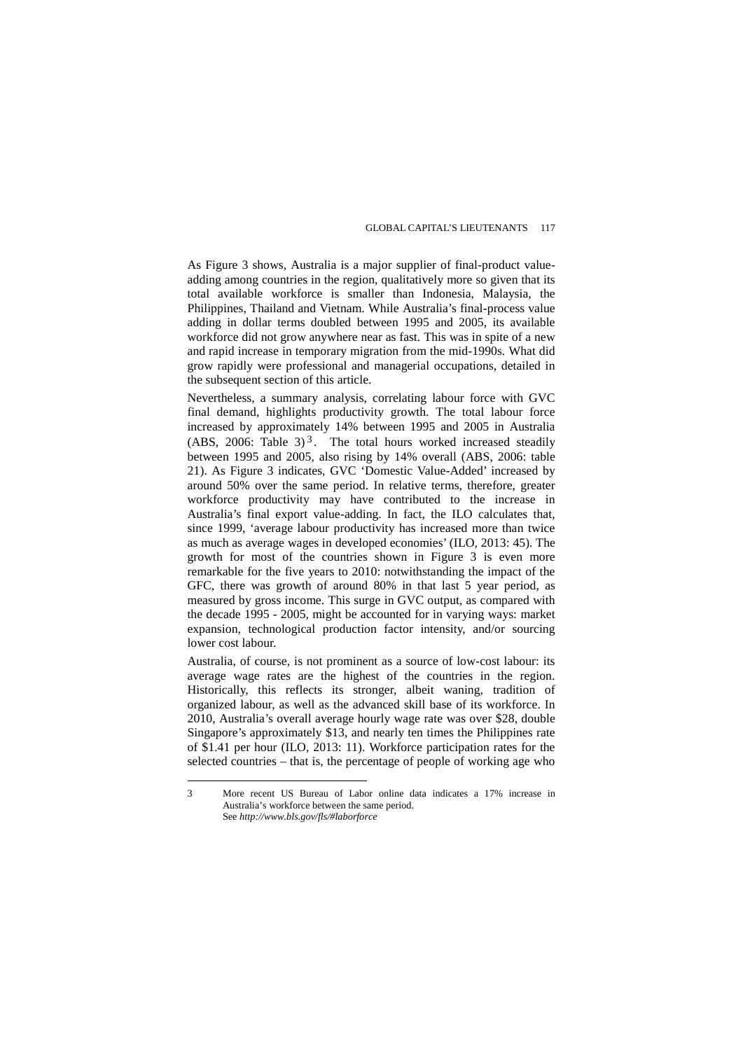As Figure 3 shows, Australia is a major supplier of final-product valueadding among countries in the region, qualitatively more so given that its total available workforce is smaller than Indonesia, Malaysia, the Philippines, Thailand and Vietnam. While Australia's final-process value adding in dollar terms doubled between 1995 and 2005, its available workforce did not grow anywhere near as fast. This was in spite of a new and rapid increase in temporary migration from the mid-1990s. What did grow rapidly were professional and managerial occupations, detailed in the subsequent section of this article.

Nevertheless, a summary analysis, correlating labour force with GVC final demand, highlights productivity growth. The total labour force increased by approximately 14% between 1995 and 2005 in Australia (ABS, 2006: Table [3](#page-9-0))<sup>3</sup>. The total hours worked increased steadily between 1995 and 2005, also rising by 14% overall (ABS, 2006: table 21). As Figure 3 indicates, GVC 'Domestic Value-Added' increased by around 50% over the same period. In relative terms, therefore, greater workforce productivity may have contributed to the increase in Australia's final export value-adding. In fact, the ILO calculates that, since 1999, 'average labour productivity has increased more than twice as much as average wages in developed economies' (ILO*,* 2013: 45). The growth for most of the countries shown in Figure 3 is even more remarkable for the five years to 2010: notwithstanding the impact of the GFC, there was growth of around 80% in that last 5 year period, as measured by gross income. This surge in GVC output, as compared with the decade 1995 - 2005, might be accounted for in varying ways: market expansion, technological production factor intensity, and/or sourcing lower cost labour.

Australia, of course, is not prominent as a source of low-cost labour: its average wage rates are the highest of the countries in the region. Historically, this reflects its stronger, albeit waning, tradition of organized labour, as well as the advanced skill base of its workforce. In 2010, Australia's overall average hourly wage rate was over \$28, double Singapore's approximately \$13, and nearly ten times the Philippines rate of \$1.41 per hour (ILO, 2013: 11). Workforce participation rates for the selected countries – that is, the percentage of people of working age who

 $\overline{a}$ 

<span id="page-9-0"></span><sup>3</sup> More recent US Bureau of Labor online data indicates a 17% increase in Australia's workforce between the same period. See *http://www.bls.gov/fls/#laborforce*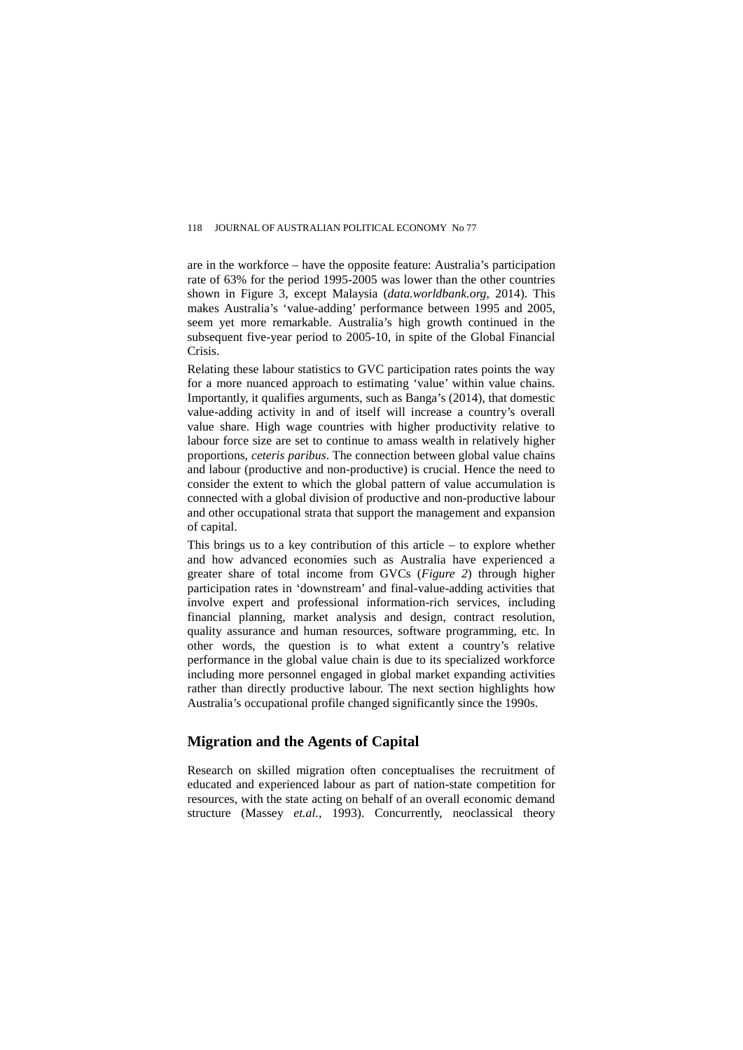are in the workforce – have the opposite feature: Australia's participation rate of 63% for the period 1995-2005 was lower than the other countries shown in Figure 3, except Malaysia (*data.worldbank.org,* 2014). This makes Australia's 'value-adding' performance between 1995 and 2005, seem yet more remarkable. Australia's high growth continued in the subsequent five-year period to 2005-10, in spite of the Global Financial Crisis.

Relating these labour statistics to GVC participation rates points the way for a more nuanced approach to estimating 'value' within value chains. Importantly, it qualifies arguments, such as Banga's (2014), that domestic value-adding activity in and of itself will increase a country's overall value share. High wage countries with higher productivity relative to labour force size are set to continue to amass wealth in relatively higher proportions, *ceteris paribus*. The connection between global value chains and labour (productive and non-productive) is crucial. Hence the need to consider the extent to which the global pattern of value accumulation is connected with a global division of productive and non-productive labour and other occupational strata that support the management and expansion of capital.

This brings us to a key contribution of this article  $-$  to explore whether and how advanced economies such as Australia have experienced a greater share of total income from GVCs (*Figure 2*) through higher participation rates in 'downstream' and final-value-adding activities that involve expert and professional information-rich services, including financial planning, market analysis and design, contract resolution, quality assurance and human resources, software programming, etc*.* In other words, the question is to what extent a country's relative performance in the global value chain is due to its specialized workforce including more personnel engaged in global market expanding activities rather than directly productive labour. The next section highlights how Australia's occupational profile changed significantly since the 1990s.

# **Migration and the Agents of Capital**

Research on skilled migration often conceptualises the recruitment of educated and experienced labour as part of nation-state competition for resources, with the state acting on behalf of an overall economic demand structure (Massey *et.al.,* 1993). Concurrently, neoclassical theory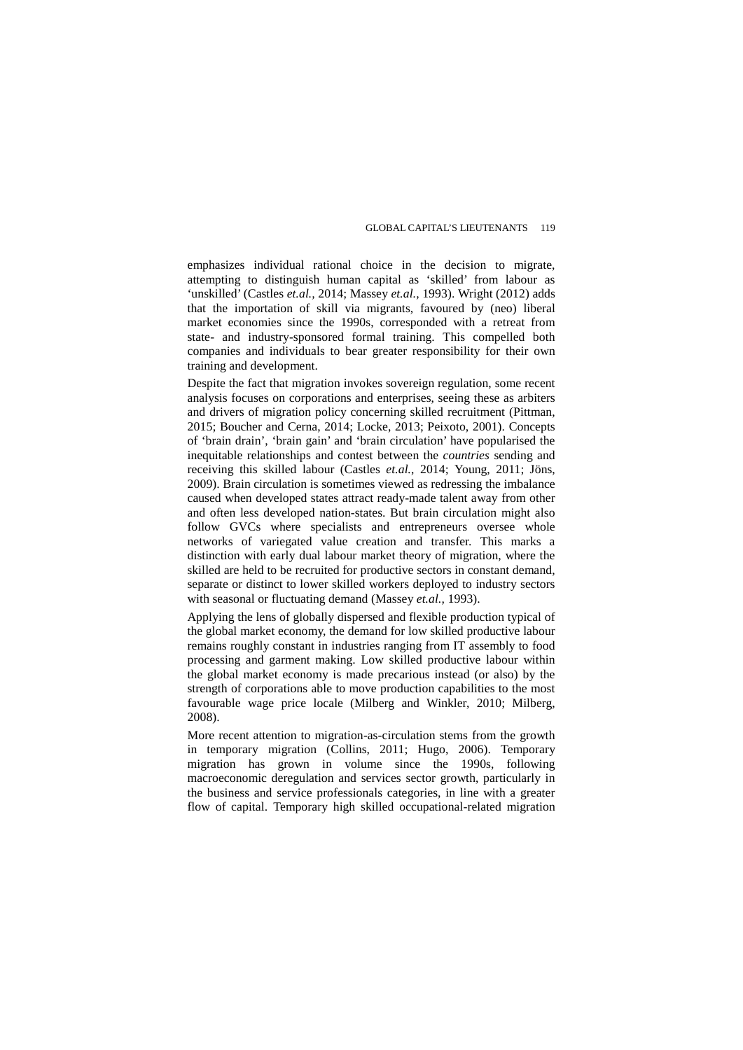emphasizes individual rational choice in the decision to migrate, attempting to distinguish human capital as 'skilled' from labour as 'unskilled' (Castles *et.al.,* 2014; Massey *et.al.,* 1993). Wright (2012) adds that the importation of skill via migrants, favoured by (neo) liberal market economies since the 1990s, corresponded with a retreat from state- and industry-sponsored formal training. This compelled both companies and individuals to bear greater responsibility for their own training and development.

Despite the fact that migration invokes sovereign regulation, some recent analysis focuses on corporations and enterprises, seeing these as arbiters and drivers of migration policy concerning skilled recruitment (Pittman, 2015; Boucher and Cerna, 2014; Locke, 2013; Peixoto, 2001). Concepts of 'brain drain', 'brain gain' and 'brain circulation' have popularised the inequitable relationships and contest between the *countries* sending and receiving this skilled labour (Castles *et.al.*, 2014; Young, 2011; Jöns, 2009). Brain circulation is sometimes viewed as redressing the imbalance caused when developed states attract ready-made talent away from other and often less developed nation-states. But brain circulation might also follow GVCs where specialists and entrepreneurs oversee whole networks of variegated value creation and transfer. This marks a distinction with early dual labour market theory of migration, where the skilled are held to be recruited for productive sectors in constant demand, separate or distinct to lower skilled workers deployed to industry sectors with seasonal or fluctuating demand (Massey *et.al.,* 1993).

Applying the lens of globally dispersed and flexible production typical of the global market economy, the demand for low skilled productive labour remains roughly constant in industries ranging from IT assembly to food processing and garment making. Low skilled productive labour within the global market economy is made precarious instead (or also) by the strength of corporations able to move production capabilities to the most favourable wage price locale (Milberg and Winkler, 2010; Milberg, 2008).

More recent attention to migration-as-circulation stems from the growth in temporary migration (Collins, 2011; Hugo, 2006). Temporary migration has grown in volume since the 1990s, following macroeconomic deregulation and services sector growth, particularly in the business and service professionals categories, in line with a greater flow of capital. Temporary high skilled occupational-related migration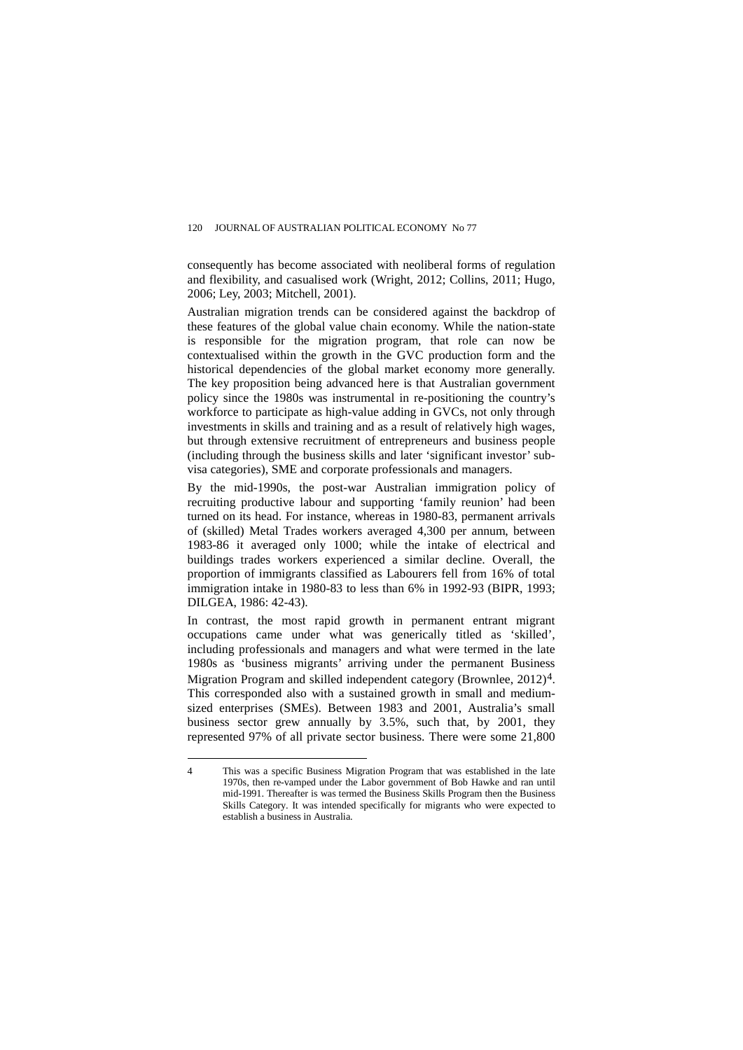consequently has become associated with neoliberal forms of regulation and flexibility, and casualised work (Wright, 2012; Collins, 2011; Hugo, 2006; Ley, 2003; Mitchell, 2001).

Australian migration trends can be considered against the backdrop of these features of the global value chain economy. While the nation-state is responsible for the migration program, that role can now be contextualised within the growth in the GVC production form and the historical dependencies of the global market economy more generally. The key proposition being advanced here is that Australian government policy since the 1980s was instrumental in re-positioning the country's workforce to participate as high-value adding in GVCs, not only through investments in skills and training and as a result of relatively high wages, but through extensive recruitment of entrepreneurs and business people (including through the business skills and later 'significant investor' subvisa categories), SME and corporate professionals and managers.

By the mid-1990s, the post-war Australian immigration policy of recruiting productive labour and supporting 'family reunion' had been turned on its head. For instance, whereas in 1980-83, permanent arrivals of (skilled) Metal Trades workers averaged 4,300 per annum, between 1983-86 it averaged only 1000; while the intake of electrical and buildings trades workers experienced a similar decline. Overall, the proportion of immigrants classified as Labourers fell from 16% of total immigration intake in 1980-83 to less than 6% in 1992-93 (BIPR, 1993; DILGEA, 1986: 42-43).

In contrast, the most rapid growth in permanent entrant migrant occupations came under what was generically titled as 'skilled', including professionals and managers and what were termed in the late 1980s as 'business migrants' arriving under the permanent Business Migration Program and skilled independent category (Brownlee, 2012)<sup>4</sup>. This corresponded also with a sustained growth in small and mediumsized enterprises (SMEs). Between 1983 and 2001, Australia's small business sector grew annually by 3.5%, such that, by 2001, they represented 97% of all private sector business. There were some 21,800

<span id="page-12-0"></span> $\overline{4}$ 4 This was a specific Business Migration Program that was established in the late 1970s, then re-vamped under the Labor government of Bob Hawke and ran until mid-1991. Thereafter is was termed the Business Skills Program then the Business Skills Category. It was intended specifically for migrants who were expected to establish a business in Australia.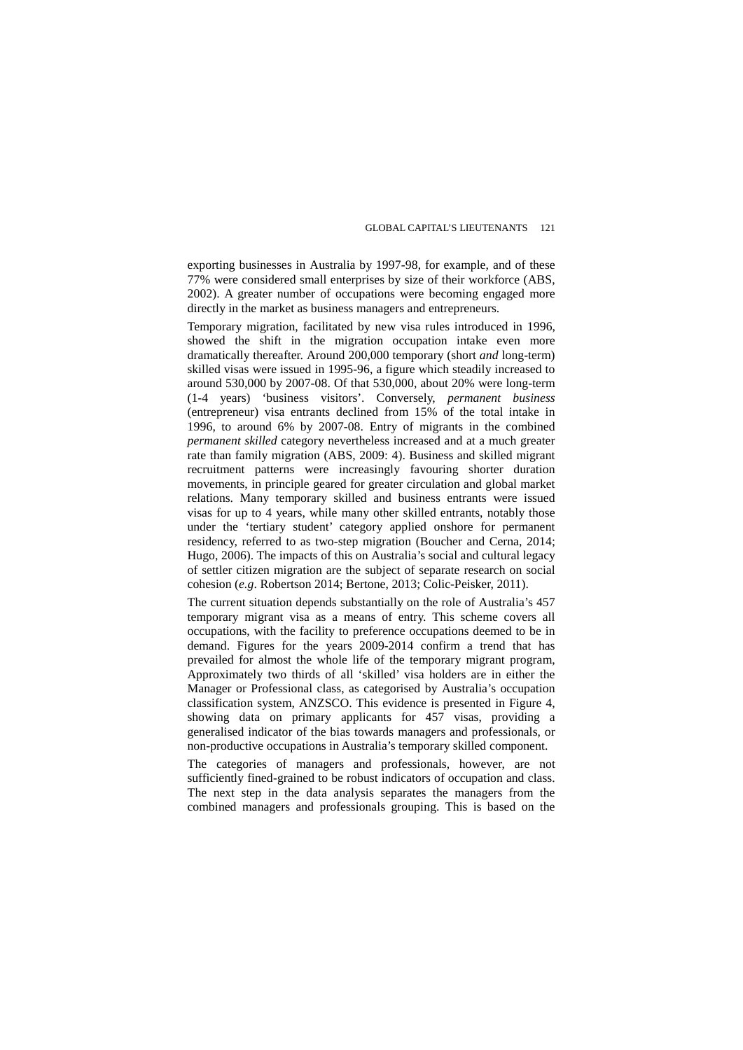exporting businesses in Australia by 1997-98, for example, and of these 77% were considered small enterprises by size of their workforce (ABS, 2002). A greater number of occupations were becoming engaged more directly in the market as business managers and entrepreneurs.

Temporary migration, facilitated by new visa rules introduced in 1996, showed the shift in the migration occupation intake even more dramatically thereafter. Around 200,000 temporary (short *and* long-term) skilled visas were issued in 1995-96, a figure which steadily increased to around 530,000 by 2007-08. Of that 530,000, about 20% were long-term (1-4 years) 'business visitors'. Conversely, *permanent business* (entrepreneur) visa entrants declined from 15% of the total intake in 1996, to around 6% by 2007-08. Entry of migrants in the combined *permanent skilled* category nevertheless increased and at a much greater rate than family migration (ABS, 2009: 4). Business and skilled migrant recruitment patterns were increasingly favouring shorter duration movements, in principle geared for greater circulation and global market relations. Many temporary skilled and business entrants were issued visas for up to 4 years, while many other skilled entrants, notably those under the 'tertiary student' category applied onshore for permanent residency, referred to as two-step migration (Boucher and Cerna, 2014; Hugo, 2006). The impacts of this on Australia's social and cultural legacy of settler citizen migration are the subject of separate research on social cohesion (*e.g*. Robertson 2014; Bertone, 2013; Colic-Peisker, 2011).

The current situation depends substantially on the role of Australia's 457 temporary migrant visa as a means of entry. This scheme covers all occupations, with the facility to preference occupations deemed to be in demand. Figures for the years 2009-2014 confirm a trend that has prevailed for almost the whole life of the temporary migrant program, Approximately two thirds of all 'skilled' visa holders are in either the Manager or Professional class, as categorised by Australia's occupation classification system, ANZSCO. This evidence is presented in Figure 4, showing data on primary applicants for 457 visas, providing a generalised indicator of the bias towards managers and professionals, or non-productive occupations in Australia's temporary skilled component.

The categories of managers and professionals, however, are not sufficiently fined-grained to be robust indicators of occupation and class. The next step in the data analysis separates the managers from the combined managers and professionals grouping. This is based on the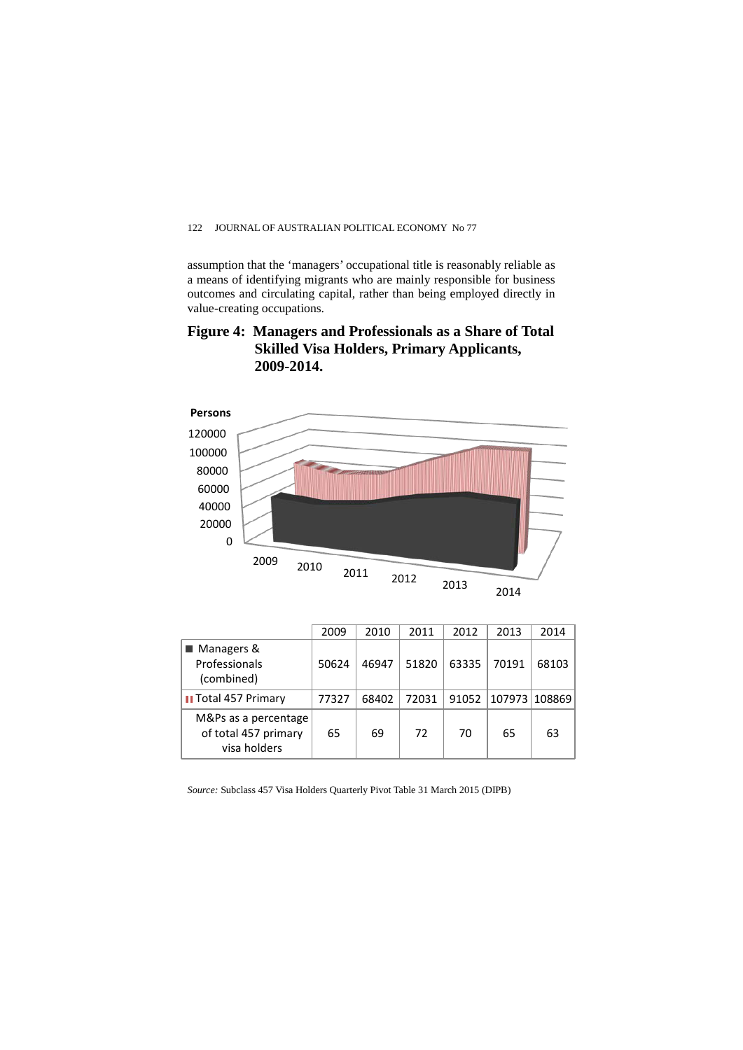assumption that the 'managers' occupational title is reasonably reliable as a means of identifying migrants who are mainly responsible for business outcomes and circulating capital, rather than being employed directly in value-creating occupations.





|                                                              | 2009  | 2010  | 2011  | 2012  | 2013          | 2014  |
|--------------------------------------------------------------|-------|-------|-------|-------|---------------|-------|
| ■ Managers &<br>Professionals<br>(combined)                  | 50624 | 46947 | 51820 | 63335 | 70191         | 68103 |
| <b>Il Total 457 Primary</b>                                  | 77327 | 68402 | 72031 | 91052 | 107973 108869 |       |
| M&Ps as a percentage<br>of total 457 primary<br>visa holders | 65    | 69    | 72    | 70    | 65            | 63    |

*Source:* Subclass 457 Visa Holders Quarterly Pivot Table 31 March 2015 (DIPB)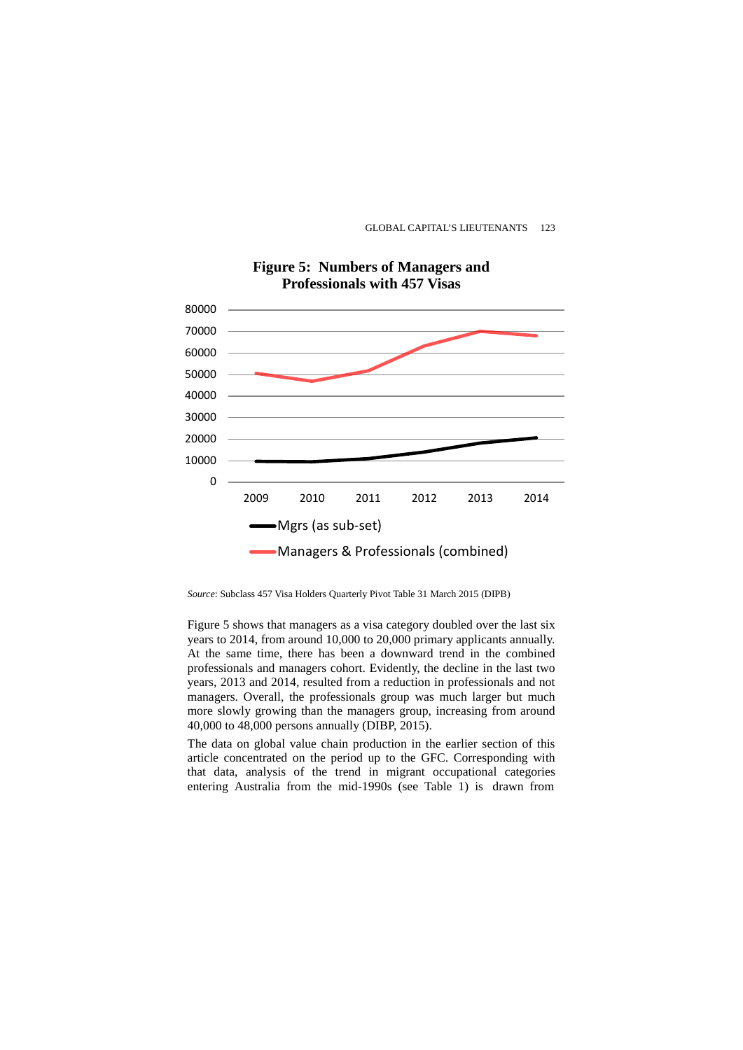

# **Figure 5: Numbers of Managers and Professionals with 457 Visas**

*Source*: Subclass 457 Visa Holders Quarterly Pivot Table 31 March 2015 (DIPB)

Figure 5 shows that managers as a visa category doubled over the last six years to 2014, from around 10,000 to 20,000 primary applicants annually. At the same time, there has been a downward trend in the combined professionals and managers cohort. Evidently, the decline in the last two years, 2013 and 2014, resulted from a reduction in professionals and not managers. Overall, the professionals group was much larger but much more slowly growing than the managers group, increasing from around 40,000 to 48,000 persons annually (DIBP, 2015).

The data on global value chain production in the earlier section of this article concentrated on the period up to the GFC. Corresponding with that data, analysis of the trend in migrant occupational categories entering Australia from the mid-1990s (see Table 1) is drawn from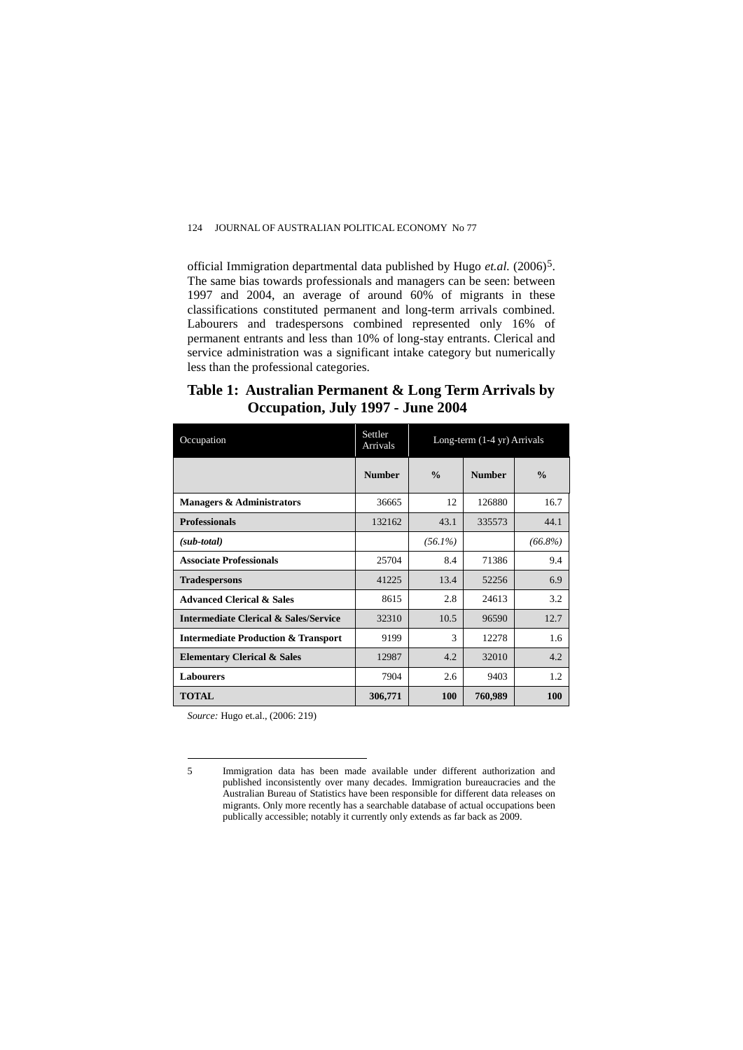official Immigration departmental data published by Hugo *et.al.* (2006)[5.](#page-16-0) The same bias towards professionals and managers can be seen: between 1997 and 2004, an average of around 60% of migrants in these classifications constituted permanent and long-term arrivals combined. Labourers and tradespersons combined represented only 16% of permanent entrants and less than 10% of long-stay entrants. Clerical and service administration was a significant intake category but numerically less than the professional categories.

# **Table 1: Australian Permanent & Long Term Arrivals by Occupation, July 1997 - June 2004**

| Occupation                                       | Settler<br>Arrivals | Long-term (1-4 yr) Arrivals |               |               |  |
|--------------------------------------------------|---------------------|-----------------------------|---------------|---------------|--|
|                                                  | <b>Number</b>       | $\frac{0}{0}$               | <b>Number</b> | $\frac{0}{0}$ |  |
| <b>Managers &amp; Administrators</b>             | 36665               | 12                          | 126880        | 16.7          |  |
| <b>Professionals</b>                             | 132162              | 43.1                        | 335573        | 44.1          |  |
| $(sub-total)$                                    |                     | $(56.1\%)$                  |               | $(66.8\%)$    |  |
| <b>Associate Professionals</b>                   | 25704               | 8.4                         | 71386         | 9.4           |  |
| <b>Tradespersons</b>                             | 41225               | 13.4                        | 52256         | 6.9           |  |
| <b>Advanced Clerical &amp; Sales</b>             | 8615                | 2.8                         | 24613         | 3.2           |  |
| <b>Intermediate Clerical &amp; Sales/Service</b> | 32310               | 10.5                        | 96590         | 12.7          |  |
| <b>Intermediate Production &amp; Transport</b>   | 9199                | 3                           | 12278         | 1.6           |  |
| <b>Elementary Clerical &amp; Sales</b>           | 12987               | 4.2                         | 32010         | 4.2           |  |
| <b>Labourers</b>                                 | 7904                | 2.6                         | 9403          | 1.2           |  |
| <b>TOTAL</b>                                     | 306,771             | <b>100</b>                  | 760,989       | 100           |  |

*Source:* Hugo et.al., (2006: 219)

<sup>5</sup> Immigration data has been made available under different authorization and published inconsistently over many decades. Immigration bureaucracies and the Australian Bureau of Statistics have been responsible for different data releases on migrants. Only more recently has a searchable database of actual occupations been publically accessible; notably it currently only extends as far back as 2009.

<span id="page-16-0"></span><sup>5</sup>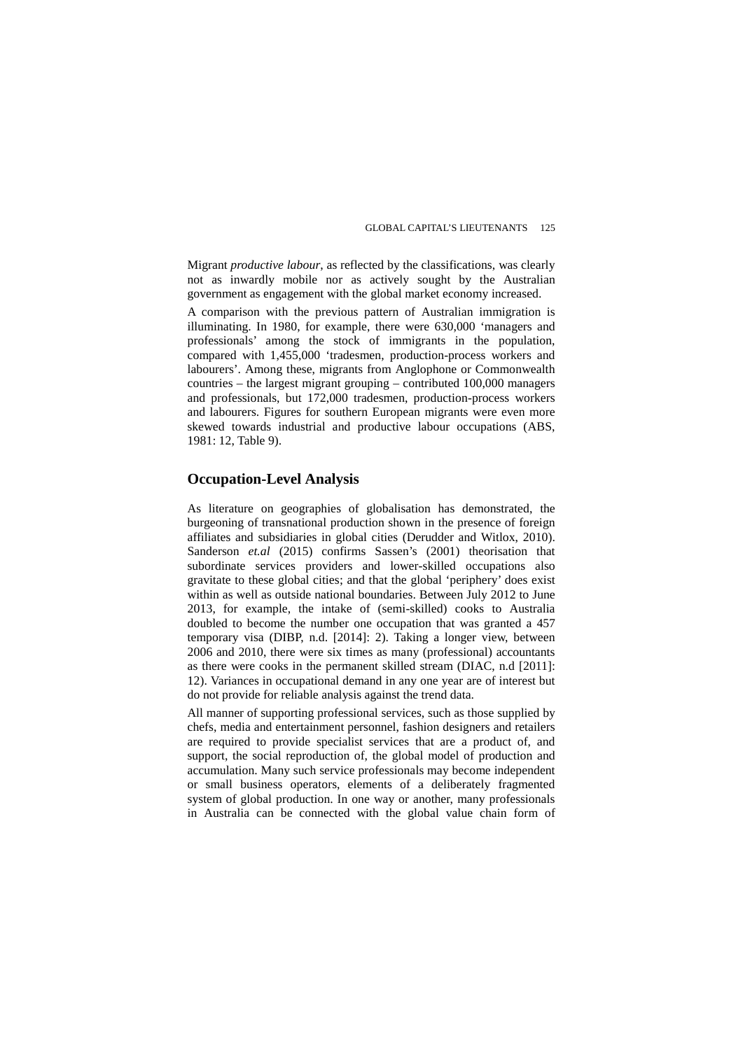Migrant *productive labour*, as reflected by the classifications, was clearly not as inwardly mobile nor as actively sought by the Australian government as engagement with the global market economy increased.

A comparison with the previous pattern of Australian immigration is illuminating. In 1980, for example, there were 630,000 'managers and professionals' among the stock of immigrants in the population, compared with 1,455,000 'tradesmen, production-process workers and labourers'. Among these, migrants from Anglophone or Commonwealth countries – the largest migrant grouping – contributed 100,000 managers and professionals, but 172,000 tradesmen, production-process workers and labourers. Figures for southern European migrants were even more skewed towards industrial and productive labour occupations (ABS, 1981: 12, Table 9).

### **Occupation-Level Analysis**

As literature on geographies of globalisation has demonstrated, the burgeoning of transnational production shown in the presence of foreign affiliates and subsidiaries in global cities (Derudder and Witlox, 2010). Sanderson *et.al* (2015) confirms Sassen's (2001) theorisation that subordinate services providers and lower-skilled occupations also gravitate to these global cities; and that the global 'periphery' does exist within as well as outside national boundaries. Between July 2012 to June 2013, for example, the intake of (semi-skilled) cooks to Australia doubled to become the number one occupation that was granted a 457 temporary visa (DIBP, n.d. [2014]: 2). Taking a longer view, between 2006 and 2010, there were six times as many (professional) accountants as there were cooks in the permanent skilled stream (DIAC, n.d [2011]: 12). Variances in occupational demand in any one year are of interest but do not provide for reliable analysis against the trend data.

All manner of supporting professional services, such as those supplied by chefs, media and entertainment personnel, fashion designers and retailers are required to provide specialist services that are a product of, and support, the social reproduction of, the global model of production and accumulation. Many such service professionals may become independent or small business operators, elements of a deliberately fragmented system of global production. In one way or another, many professionals in Australia can be connected with the global value chain form of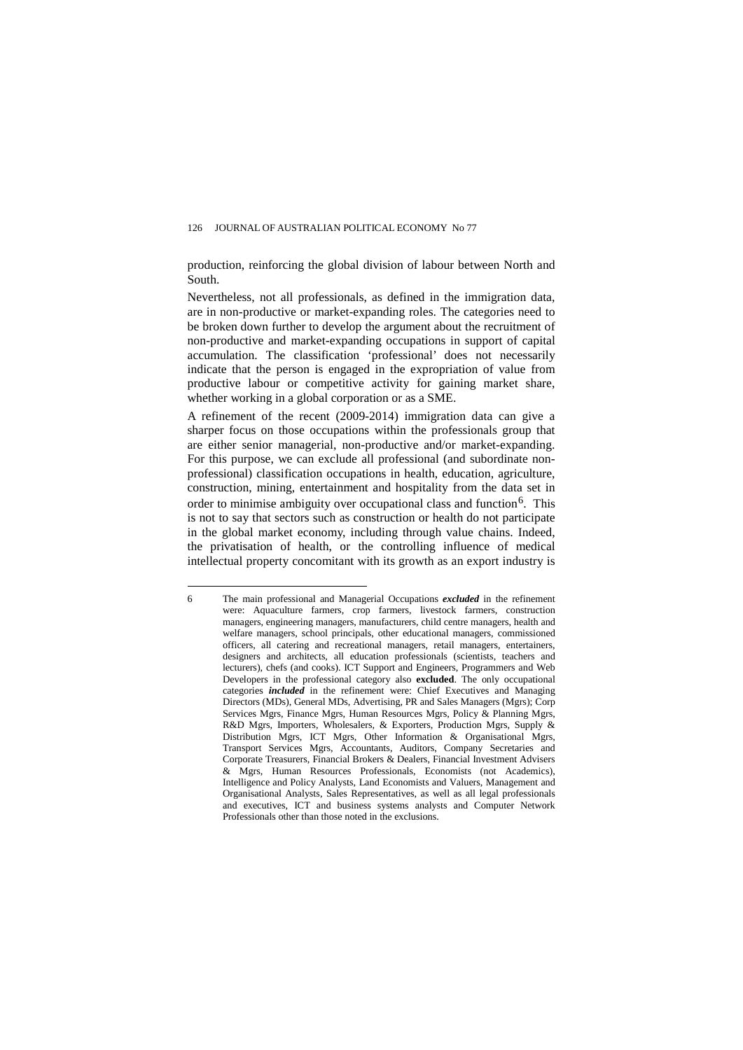production, reinforcing the global division of labour between North and South.

Nevertheless, not all professionals, as defined in the immigration data, are in non-productive or market-expanding roles. The categories need to be broken down further to develop the argument about the recruitment of non-productive and market-expanding occupations in support of capital accumulation. The classification 'professional' does not necessarily indicate that the person is engaged in the expropriation of value from productive labour or competitive activity for gaining market share, whether working in a global corporation or as a SME.

A refinement of the recent (2009-2014) immigration data can give a sharper focus on those occupations within the professionals group that are either senior managerial, non-productive and/or market-expanding. For this purpose, we can exclude all professional (and subordinate nonprofessional) classification occupations in health, education, agriculture, construction, mining, entertainment and hospitality from the data set in order to minimise ambiguity over occupational class and function<sup>[6](#page-18-0)</sup>. This is not to say that sectors such as construction or health do not participate in the global market economy, including through value chains. Indeed, the privatisation of health, or the controlling influence of medical intellectual property concomitant with its growth as an export industry is

<span id="page-18-0"></span> $\overline{a}$ 6 The main professional and Managerial Occupations *excluded* in the refinement were: Aquaculture farmers, crop farmers, livestock farmers, construction managers, engineering managers, manufacturers, child centre managers, health and welfare managers, school principals, other educational managers, commissioned officers, all catering and recreational managers, retail managers, entertainers, designers and architects, all education professionals (scientists, teachers and lecturers), chefs (and cooks). ICT Support and Engineers, Programmers and Web Developers in the professional category also **excluded**. The only occupational categories *included* in the refinement were: Chief Executives and Managing Directors (MDs), General MDs, Advertising, PR and Sales Managers (Mgrs); Corp Services Mgrs, Finance Mgrs, Human Resources Mgrs, Policy & Planning Mgrs, R&D Mgrs, Importers, Wholesalers, & Exporters, Production Mgrs, Supply & Distribution Mgrs, ICT Mgrs, Other Information & Organisational Mgrs, Transport Services Mgrs, Accountants, Auditors, Company Secretaries and Corporate Treasurers, Financial Brokers & Dealers, Financial Investment Advisers & Mgrs, Human Resources Professionals, Economists (not Academics), Intelligence and Policy Analysts, Land Economists and Valuers, Management and Organisational Analysts, Sales Representatives, as well as all legal professionals and executives, ICT and business systems analysts and Computer Network Professionals other than those noted in the exclusions.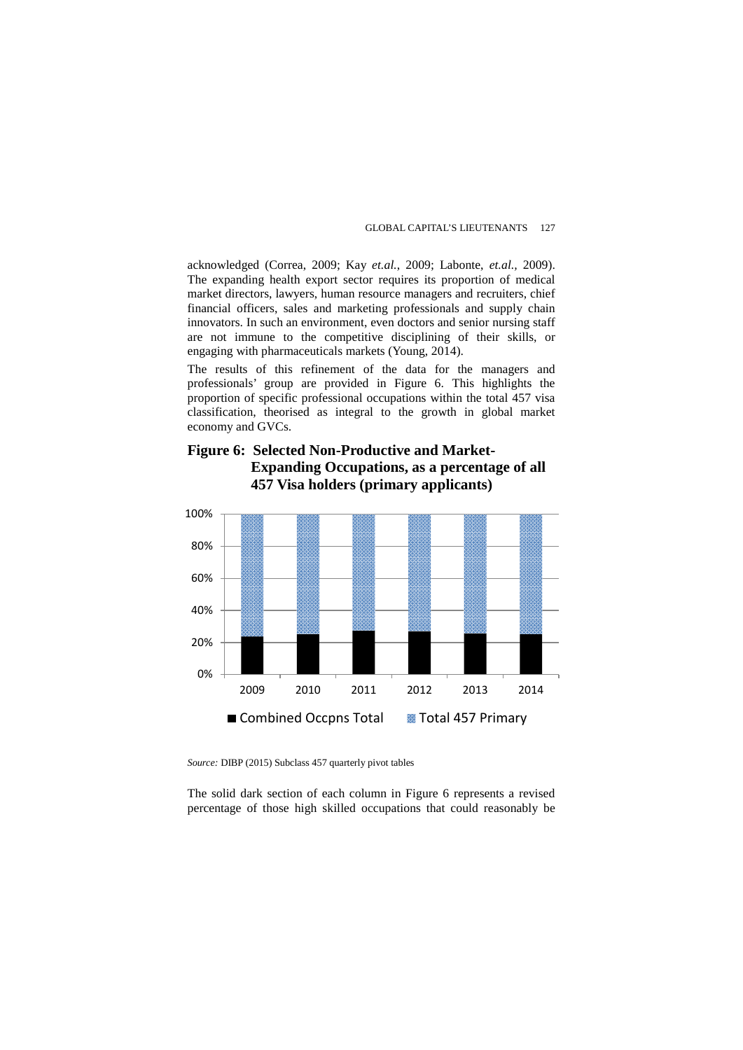acknowledged (Correa, 2009; Kay *et.al.*, 2009; Labonte, *et.al.,* 2009). The expanding health export sector requires its proportion of medical market directors, lawyers, human resource managers and recruiters, chief financial officers, sales and marketing professionals and supply chain innovators. In such an environment, even doctors and senior nursing staff are not immune to the competitive disciplining of their skills, or engaging with pharmaceuticals markets (Young, 2014).

The results of this refinement of the data for the managers and professionals' group are provided in Figure 6. This highlights the proportion of specific professional occupations within the total 457 visa classification, theorised as integral to the growth in global market economy and GVCs.

**Figure 6: Selected Non-Productive and Market-Expanding Occupations, as a percentage of all 457 Visa holders (primary applicants)**



*Source:* DIBP (2015) Subclass 457 quarterly pivot tables

The solid dark section of each column in Figure 6 represents a revised percentage of those high skilled occupations that could reasonably be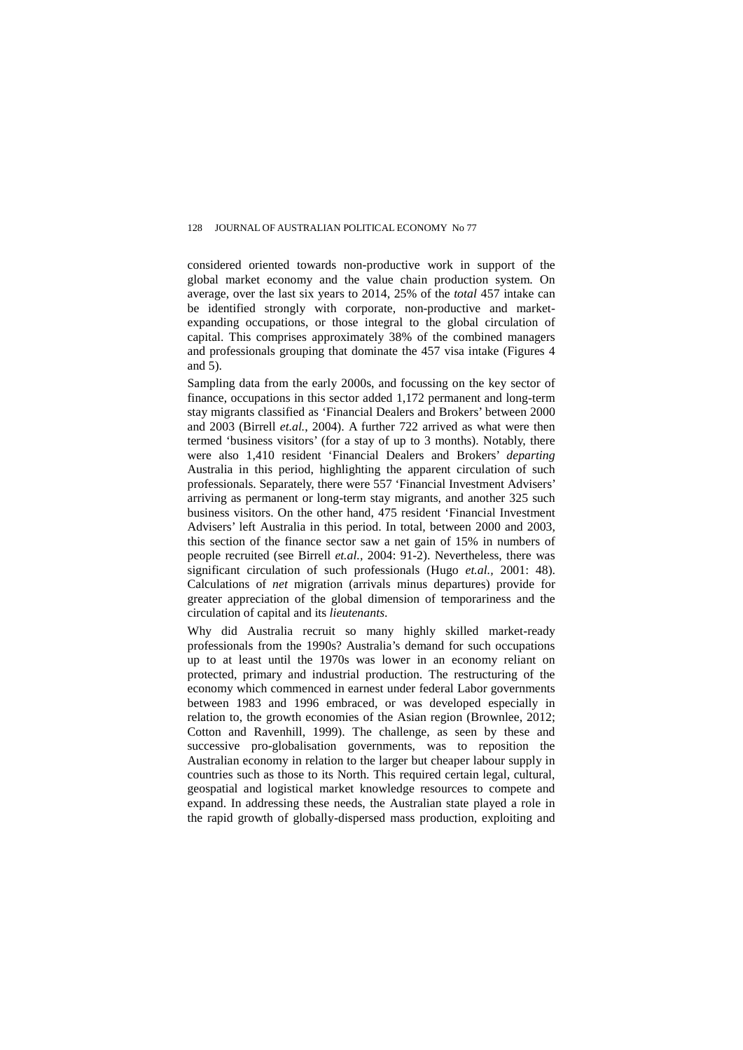considered oriented towards non-productive work in support of the global market economy and the value chain production system. On average, over the last six years to 2014, 25% of the *total* 457 intake can be identified strongly with corporate, non-productive and marketexpanding occupations, or those integral to the global circulation of capital. This comprises approximately 38% of the combined managers and professionals grouping that dominate the 457 visa intake (Figures 4 and 5).

Sampling data from the early 2000s, and focussing on the key sector of finance, occupations in this sector added 1,172 permanent and long-term stay migrants classified as 'Financial Dealers and Brokers' between 2000 and 2003 (Birrell *et.al.*, 2004). A further 722 arrived as what were then termed 'business visitors' (for a stay of up to 3 months). Notably, there were also 1,410 resident 'Financial Dealers and Brokers' *departing* Australia in this period, highlighting the apparent circulation of such professionals. Separately, there were 557 'Financial Investment Advisers' arriving as permanent or long-term stay migrants, and another 325 such business visitors. On the other hand, 475 resident 'Financial Investment Advisers' left Australia in this period. In total, between 2000 and 2003, this section of the finance sector saw a net gain of 15% in numbers of people recruited (see Birrell *et.al.,* 2004: 91-2). Nevertheless, there was significant circulation of such professionals (Hugo *et.al.,* 2001: 48). Calculations of *net* migration (arrivals minus departures) provide for greater appreciation of the global dimension of temporariness and the circulation of capital and its *lieutenants*.

Why did Australia recruit so many highly skilled market-ready professionals from the 1990s? Australia's demand for such occupations up to at least until the 1970s was lower in an economy reliant on protected, primary and industrial production. The restructuring of the economy which commenced in earnest under federal Labor governments between 1983 and 1996 embraced, or was developed especially in relation to, the growth economies of the Asian region (Brownlee, 2012; Cotton and Ravenhill, 1999). The challenge, as seen by these and successive pro-globalisation governments, was to reposition the Australian economy in relation to the larger but cheaper labour supply in countries such as those to its North. This required certain legal, cultural, geospatial and logistical market knowledge resources to compete and expand. In addressing these needs, the Australian state played a role in the rapid growth of globally-dispersed mass production, exploiting and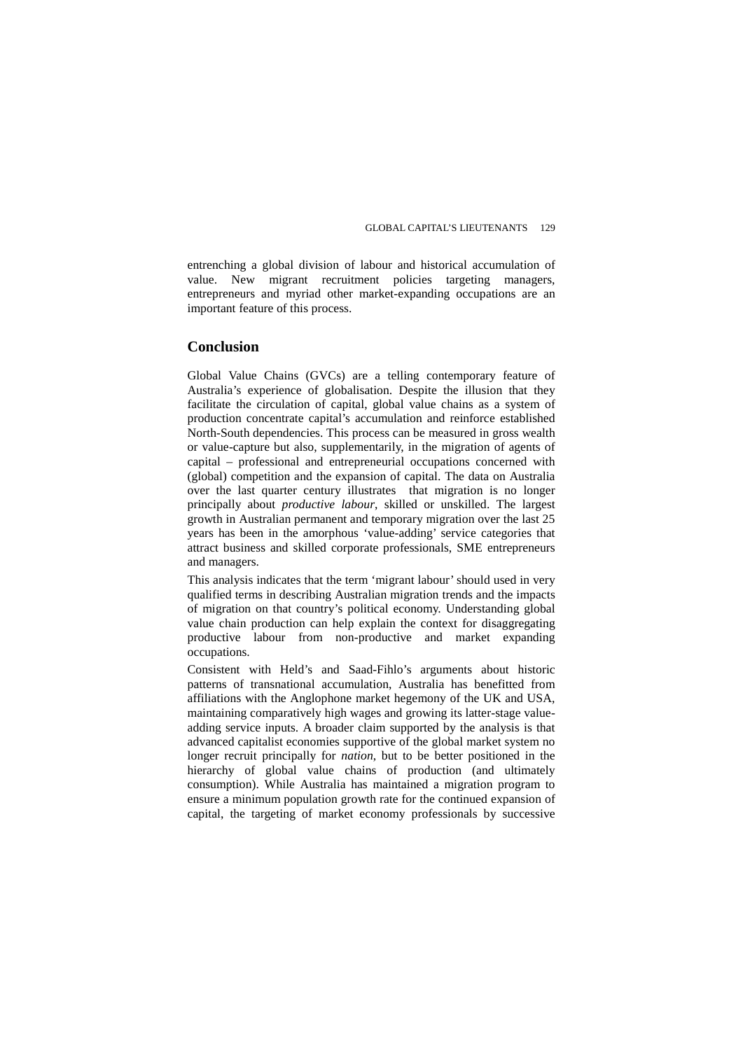entrenching a global division of labour and historical accumulation of value. New migrant recruitment policies targeting managers, entrepreneurs and myriad other market-expanding occupations are an important feature of this process.

## **Conclusion**

Global Value Chains (GVCs) are a telling contemporary feature of Australia's experience of globalisation. Despite the illusion that they facilitate the circulation of capital, global value chains as a system of production concentrate capital's accumulation and reinforce established North-South dependencies. This process can be measured in gross wealth or value-capture but also, supplementarily, in the migration of agents of capital – professional and entrepreneurial occupations concerned with (global) competition and the expansion of capital. The data on Australia over the last quarter century illustrates that migration is no longer principally about *productive labour*, skilled or unskilled. The largest growth in Australian permanent and temporary migration over the last 25 years has been in the amorphous 'value-adding' service categories that attract business and skilled corporate professionals, SME entrepreneurs and managers.

This analysis indicates that the term 'migrant labour' should used in very qualified terms in describing Australian migration trends and the impacts of migration on that country's political economy. Understanding global value chain production can help explain the context for disaggregating productive labour from non-productive and market expanding occupations.

Consistent with Held's and Saad-Fihlo's arguments about historic patterns of transnational accumulation, Australia has benefitted from affiliations with the Anglophone market hegemony of the UK and USA, maintaining comparatively high wages and growing its latter-stage valueadding service inputs. A broader claim supported by the analysis is that advanced capitalist economies supportive of the global market system no longer recruit principally for *nation*, but to be better positioned in the hierarchy of global value chains of production (and ultimately consumption). While Australia has maintained a migration program to ensure a minimum population growth rate for the continued expansion of capital, the targeting of market economy professionals by successive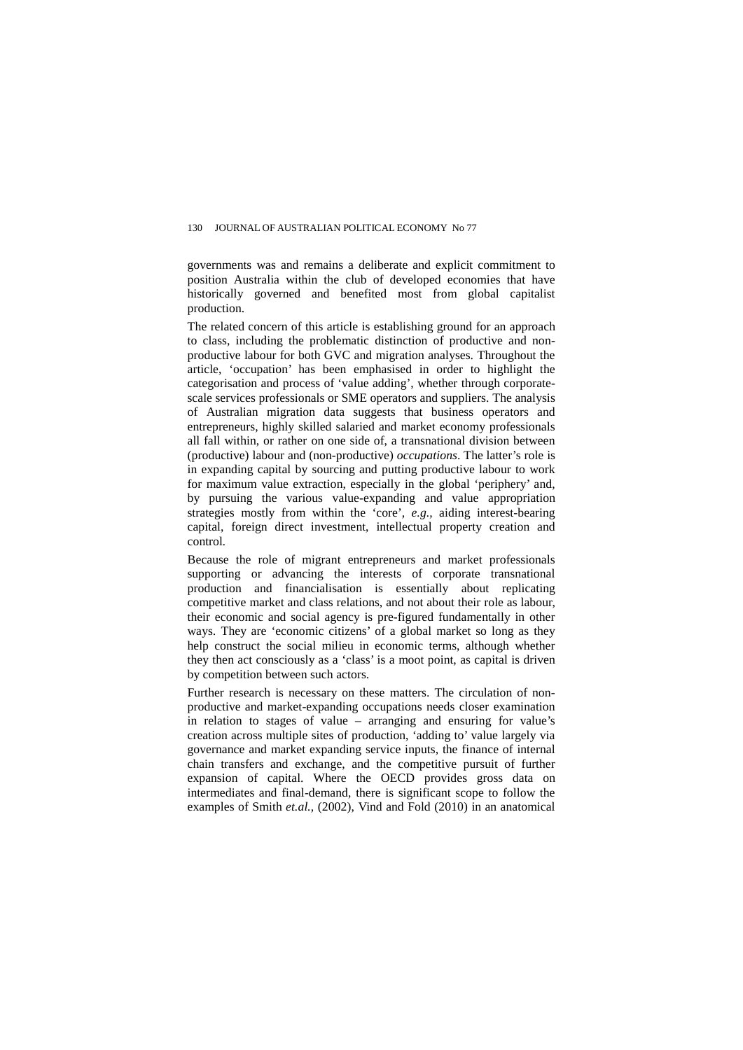governments was and remains a deliberate and explicit commitment to position Australia within the club of developed economies that have historically governed and benefited most from global capitalist production.

The related concern of this article is establishing ground for an approach to class, including the problematic distinction of productive and nonproductive labour for both GVC and migration analyses. Throughout the article, 'occupation' has been emphasised in order to highlight the categorisation and process of 'value adding', whether through corporatescale services professionals or SME operators and suppliers. The analysis of Australian migration data suggests that business operators and entrepreneurs, highly skilled salaried and market economy professionals all fall within, or rather on one side of, a transnational division between (productive) labour and (non-productive) *occupations*. The latter's role is in expanding capital by sourcing and putting productive labour to work for maximum value extraction, especially in the global 'periphery' and, by pursuing the various value-expanding and value appropriation strategies mostly from within the 'core', *e.g.,* aiding interest-bearing capital, foreign direct investment, intellectual property creation and control*.*

Because the role of migrant entrepreneurs and market professionals supporting or advancing the interests of corporate transnational production and financialisation is essentially about replicating competitive market and class relations, and not about their role as labour, their economic and social agency is pre-figured fundamentally in other ways. They are 'economic citizens' of a global market so long as they help construct the social milieu in economic terms, although whether they then act consciously as a 'class' is a moot point, as capital is driven by competition between such actors.

Further research is necessary on these matters. The circulation of nonproductive and market-expanding occupations needs closer examination in relation to stages of value – arranging and ensuring for value's creation across multiple sites of production, 'adding to' value largely via governance and market expanding service inputs, the finance of internal chain transfers and exchange, and the competitive pursuit of further expansion of capital. Where the OECD provides gross data on intermediates and final-demand, there is significant scope to follow the examples of Smith *et.al.,* (2002), Vind and Fold (2010) in an anatomical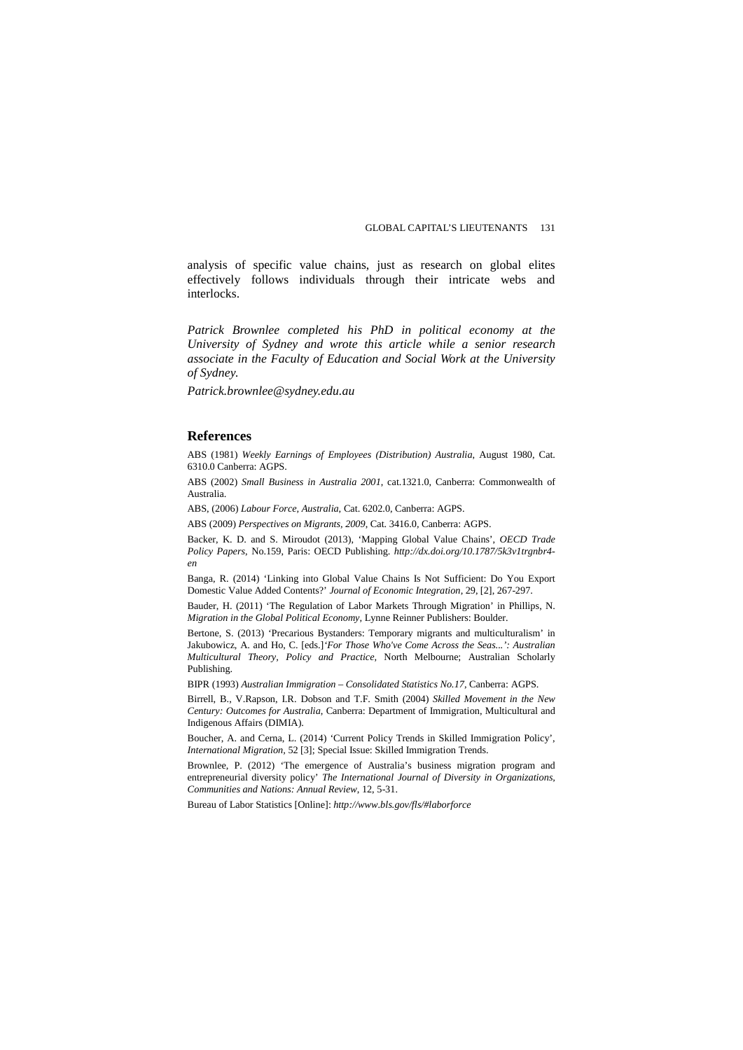analysis of specific value chains, just as research on global elites effectively follows individuals through their intricate webs and interlocks.

*Patrick Brownlee completed his PhD in political economy at the University of Sydney and wrote this article while a senior research associate in the Faculty of Education and Social Work at the University of Sydney.* 

*Patrick.brownlee@sydney.edu.au*

#### **References**

ABS (1981) *Weekly Earnings of Employees (Distribution) Australia*, August 1980, Cat. 6310.0 Canberra: AGPS.

ABS (2002) *Small Business in Australia 2001*, cat.1321.0, Canberra: Commonwealth of Australia.

ABS, (2006) *Labour Force, Australia*, Cat. 6202.0, Canberra: AGPS.

ABS (2009) *Perspectives on Migrants, 2009*, Cat. 3416.0*,* Canberra: AGPS.

Backer, K. D. and S. Miroudot (2013), 'Mapping Global Value Chains', *OECD Trade Policy Papers*, No.159, Paris: OECD Publishing. *http://dx.doi.org/10.1787/5k3v1trgnbr4 en*

Banga, R. (2014) 'Linking into Global Value Chains Is Not Sufficient: Do You Export Domestic Value Added Contents?' *Journal of Economic Integration*, 29, [2], 267-297.

Bauder, H. (2011) 'The Regulation of Labor Markets Through Migration' in Phillips, N. *Migration in the Global Political Economy,* Lynne Reinner Publishers: Boulder.

Bertone, S. (2013) 'Precarious Bystanders: Temporary migrants and multiculturalism' in Jakubowicz, A. and Ho, C. [eds.]*'For Those Who've Come Across the Seas...': Australian Multicultural Theory, Policy and Practice,* North Melbourne; Australian Scholarly Publishing.

BIPR (1993) *Australian Immigration – Consolidated Statistics No.17*, Canberra: AGPS.

Birrell, B., V.Rapson, I.R. Dobson and T.F. Smith (2004) *Skilled Movement in the New Century: Outcomes for Australia*, Canberra: Department of Immigration, Multicultural and Indigenous Affairs (DIMIA).

Boucher, A. and Cerna, L. (2014) 'Current Policy Trends in Skilled Immigration Policy', *International Migration,* 52 [3]; Special Issue: Skilled Immigration Trends.

Brownlee, P. (2012) 'The emergence of Australia's business migration program and entrepreneurial diversity policy' *The International Journal of Diversity in Organizations, Communities and Nations: Annual Review*, 12, 5-31.

Bureau of Labor Statistics [Online]: *http://www.bls.gov/fls/#laborforce*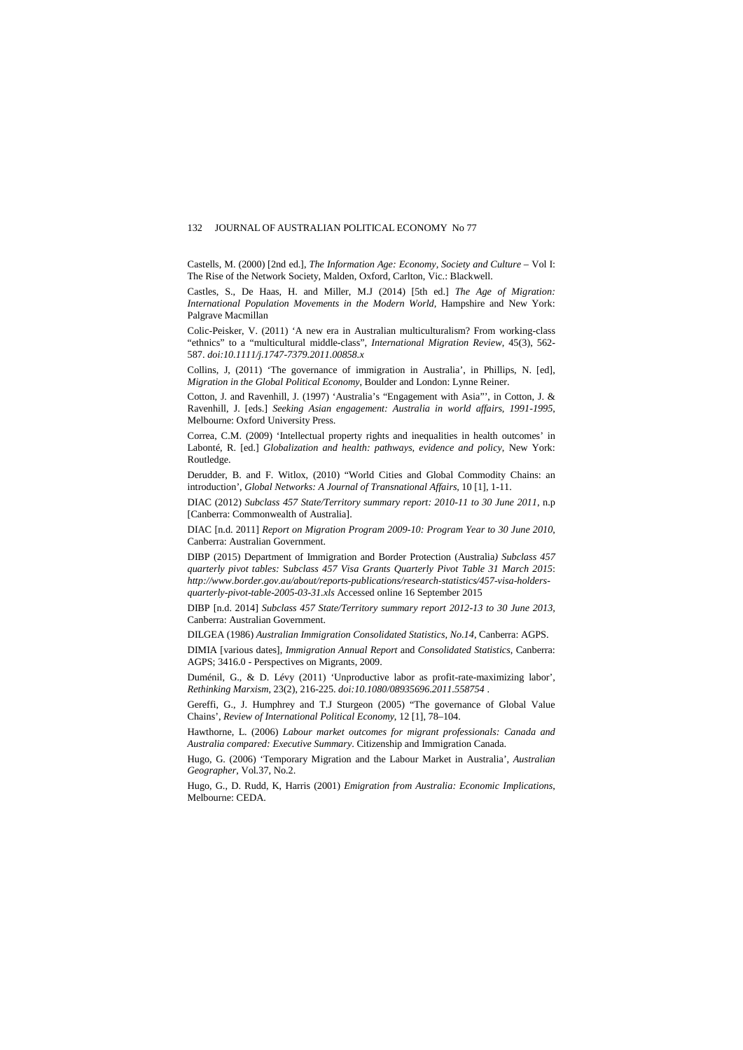Castells, M. (2000) [2nd ed.], *The Information Age: Economy, Society and Culture* – Vol I: The Rise of the Network Society, Malden, Oxford, Carlton, Vic.: Blackwell.

Castles, S., De Haas, H. and Miller, M.J (2014) [5th ed.] *The Age of Migration: International Population Movements in the Modern World,* Hampshire and New York: Palgrave Macmillan

Colic-Peisker, V. (2011) 'A new era in Australian multiculturalism? From working-class "ethnics" to a "multicultural middle-class", *International Migration Review*, 45(3), 562- 587. *doi:10.1111/j.1747-7379.2011.00858.x*

Collins, J, (2011) 'The governance of immigration in Australia', in Phillips, N. [ed], *Migration in the Global Political Economy*, Boulder and London: Lynne Reiner.

Cotton, J. and Ravenhill, J. (1997) 'Australia's "Engagement with Asia"', in Cotton, J. & Ravenhill, J. [eds.] *Seeking Asian engagement: Australia in world affairs, 1991-1995*, Melbourne: Oxford University Press.

Correa, C.M. (2009) 'Intellectual property rights and inequalities in health outcomes' in Labonté, R. [ed.] *Globalization and health: pathways, evidence and policy*, New York: Routledge.

Derudder, B. and F. Witlox, (2010) "World Cities and Global Commodity Chains: an introduction', *Global Networks: A Journal of Transnational Affairs,* 10 [1], 1-11.

DIAC (2012) *Subclass 457 State/Territory summary report: 2010-11 to 30 June 2011*, n.p [Canberra: Commonwealth of Australia].

DIAC [n.d. 2011] *Report on Migration Program 2009-10: Program Year to 30 June 2010*, Canberra: Australian Government.

DIBP (2015) Department of Immigration and Border Protection (Australia*) Subclass 457 quarterly pivot tables:* S*ubclass 457 Visa Grants Quarterly Pivot Table 31 March 2015*: *http://www.border.gov.au/about/reports-publications/research-statistics/457-visa-holdersquarterly-pivot-table-2005-03-31.xls* Accessed online 16 September 2015

DIBP [n.d. 2014] *Subclass 457 State/Territory summary report 2012-13 to 30 June 2013,*  Canberra: Australian Government.

DILGEA (1986) *Australian Immigration Consolidated Statistics, No.14*, Canberra: AGPS.

DIMIA [various dates], *Immigration Annual Report* and *Consolidated Statistics*, Canberra: AGPS; 3416.0 - Perspectives on Migrants, 2009.

Duménil, G., & D. Lévy (2011) 'Unproductive labor as profit-rate-maximizing labor', *Rethinking Marxism*, 23(2), 216-225. *doi:10.1080/08935696.2011.558754* .

Gereffi, G., J. Humphrey and T.J Sturgeon (2005) "The governance of Global Value Chains', *Review of International Political Economy*, 12 [1], 78–104.

Hawthorne, L. (2006) *Labour market outcomes for migrant professionals: Canada and Australia compared: Executive Summary*. Citizenship and Immigration Canada.

Hugo, G. (2006) 'Temporary Migration and the Labour Market in Australia', *Australian Geographer*, Vol.37, No.2.

Hugo, G., D. Rudd, K, Harris (2001) *Emigration from Australia: Economic Implications*, Melbourne: CEDA.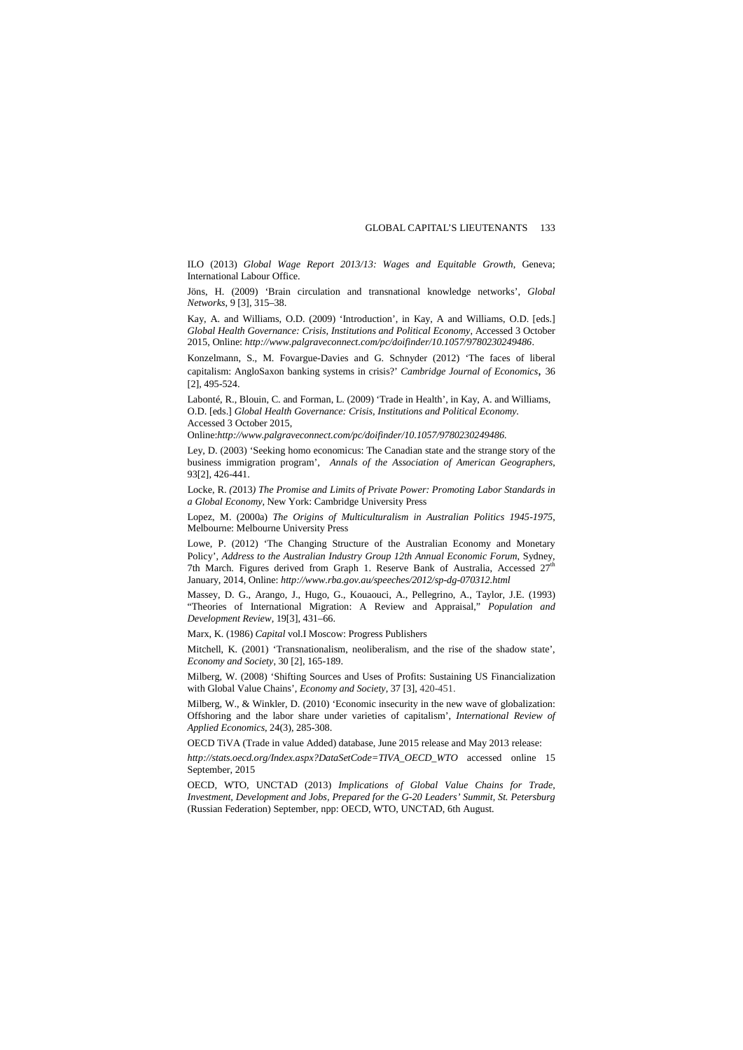ILO (2013) *Global Wage Report 2013/13: Wages and Equitable Growth*, Geneva; International Labour Office.

Jöns, H. (2009) 'Brain circulation and transnational knowledge networks', *Global Networks*, 9 [3], 315–38.

Kay, A. and Williams, O.D. (2009) 'Introduction', in Kay, A and Williams, O.D. [eds.] *Global Health Governance: Crisis, Institutions and Political Economy*, Accessed 3 October 2015, Online: *http://www.palgraveconnect.com/pc/doifinder/10.1057/9780230249486*.

Konzelmann, S., M. Fovargue-Davies and G. Schnyder (2012) 'The faces of liberal capitalism: AngloSaxon banking systems in crisis?' *Cambridge Journal of Economics*, 36 [2], 495-524.

Labonté, R., Blouin, C. and Forman, L. (2009) 'Trade in Health', in Kay, A. and Williams, O.D. [eds.] *Global Health Governance: Crisis, Institutions and Political Economy*. Accessed 3 October 2015,

Online:*http://www.palgraveconnect.com/pc/doifinder/10.1057/9780230249486.*

Ley, D. (2003) 'Seeking homo economicus: The Canadian state and the strange story of the business immigration program', *Annals of the Association of American Geographers*, 93[2], 426-441.

Locke, R. *(*2013*) The Promise and Limits of Private Power: Promoting Labor Standards in a Global Economy,* New York: Cambridge University Press

Lopez, M. (2000a) *The Origins of Multiculturalism in Australian Politics 1945-1975*, Melbourne: Melbourne University Press

Lowe, P. (2012) 'The Changing Structure of the Australian Economy and Monetary Policy', *Address to the Australian Industry Group 12th Annual Economic Forum*, Sydney, 7th March. Figures derived from Graph 1. Reserve Bank of Australia, Accessed 27<sup>th</sup> January, 2014, Online: *http://www.rba.gov.au/speeches/2012/sp-dg-070312.html*

Massey, D. G., Arango, J., Hugo, G., Kouaouci, A., Pellegrino, A., Taylor, J.E. (1993) "Theories of International Migration: A Review and Appraisal," *Population and Development Review,* 19[3], 431–66.

Marx, K. (1986) *Capital* vol.I Moscow: Progress Publishers

Mitchell, K. (2001) 'Transnationalism, neoliberalism, and the rise of the shadow state', *Economy and Society*, 30 [2], 165-189.

Milberg, W. (2008) 'Shifting Sources and Uses of Profits: Sustaining US Financialization with Global Value Chains', *Economy and Society*, 37 [3], 420-451.

Milberg, W., & Winkler, D. (2010) 'Economic insecurity in the new wave of globalization: Offshoring and the labor share under varieties of capitalism', *International Review of Applied Economics*, 24(3), 285-308.

OECD TiVA (Trade in value Added) database, June 2015 release and May 2013 release:

*http://stats.oecd.org/Index.aspx?DataSetCode=TIVA\_OECD\_WTO* accessed online 15 September, 2015

OECD, WTO, UNCTAD (2013) *Implications of Global Value Chains for Trade, Investment, Development and Jobs, Prepared for the G-20 Leaders' Summit, St. Petersburg* (Russian Federation) September, npp: OECD, WTO, UNCTAD, 6th August.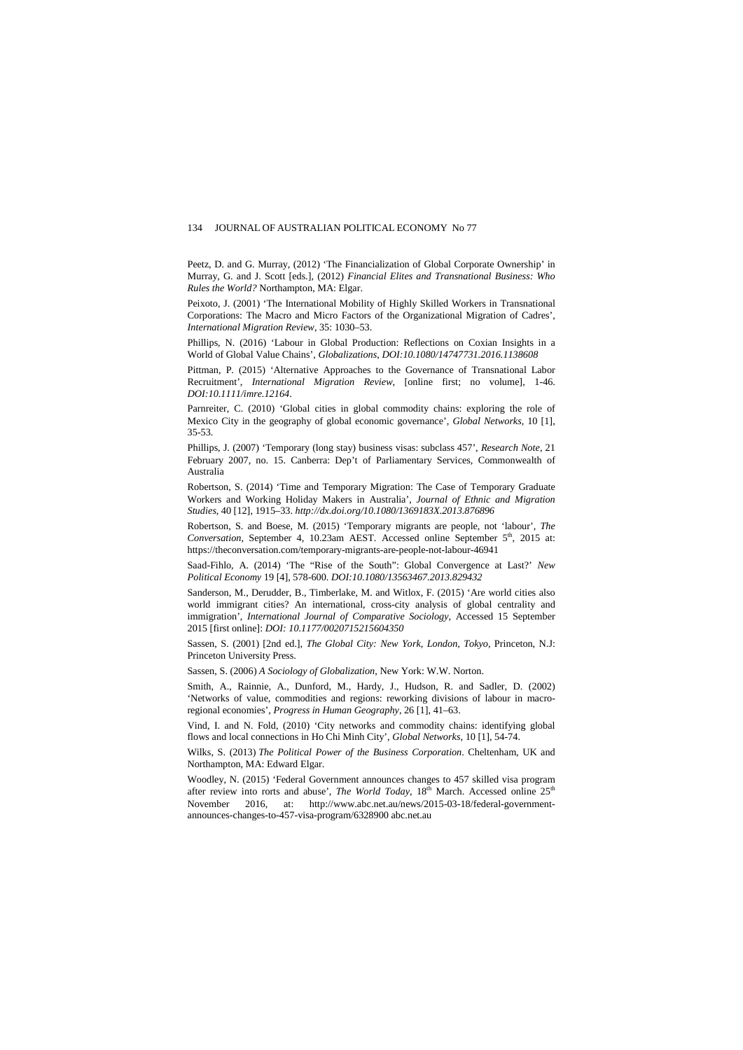Peetz, D. and G. Murray, (2012) 'The Financialization of Global Corporate Ownership' in Murray, G. and J. Scott [eds.], (2012) *Financial Elites and Transnational Business: Who Rules the World?* Northampton, MA: Elgar.

Peixoto, J. (2001) 'The International Mobility of Highly Skilled Workers in Transnational Corporations: The Macro and Micro Factors of the Organizational Migration of Cadres', *International Migration Review*, 35: 1030–53.

Phillips, N. (2016) 'Labour in Global Production: Reflections on Coxian Insights in a World of Global Value Chains', *Globalizations*, *DOI:10.1080/14747731.2016.1138608*

Pittman, P. (2015) 'Alternative Approaches to the Governance of Transnational Labor Recruitment', *International Migration Review*, [online first; no volume], 1-46. *DOI:10.1111/imre.12164*.

Parnreiter, C. (2010) 'Global cities in global commodity chains: exploring the role of Mexico City in the geography of global economic governance', *Global Networks,* 10 [1], 35-53.

Phillips, J. (2007) 'Temporary (long stay) business visas: subclass 457', *Research Note*, 21 February 2007, no. 15. Canberra: Dep't of Parliamentary Services, Commonwealth of Australia

Robertson, S. (2014) 'Time and Temporary Migration: The Case of Temporary Graduate Workers and Working Holiday Makers in Australia', *Journal of Ethnic and Migration Studies*, 40 [12], 1915–33. *http://dx.doi.org/10.1080/1369183X.2013.876896*

Robertson, S. and Boese, M. (2015) 'Temporary migrants are people, not 'labour', *The Conversation*, September 4, 10.23am AEST. Accessed online September 5<sup>th</sup>, 2015 at: https://theconversation.com/temporary-migrants-are-people-not-labour-46941

Saad-Fihlo, A. (2014) 'The "Rise of the South": Global Convergence at Last?' *New Political Economy* 19 [4], 578-600. *DOI:10.1080/13563467.2013.829432*

Sanderson, M., Derudder, B., Timberlake, M. and Witlox, F. (2015) 'Are world cities also world immigrant cities? An international, cross-city analysis of global centrality and immigration', *International Journal of Comparative Sociology*, Accessed 15 September 2015 [first online]: *DOI: 10.1177/0020715215604350*

Sassen, S. (2001) [2nd ed.], *The Global City: New York, London, Tokyo,* Princeton, N.J: Princeton University Press.

Sassen, S. (2006) *A Sociology of Globalization*, New York: W.W. Norton.

Smith, A., Rainnie, A., Dunford, M., Hardy, J., Hudson, R. and Sadler, D. (2002) 'Networks of value, commodities and regions: reworking divisions of labour in macroregional economies', *Progress in Human Geography*, 26 [1], 41–63.

Vind, I. and N. Fold, (2010) 'City networks and commodity chains: identifying global flows and local connections in Ho Chi Minh City', *Global Networks,* 10 [1], 54-74.

Wilks, S. (2013) *The Political Power of the Business Corporation*. Cheltenham, UK and Northampton, MA: Edward Elgar.

Woodley, N. (2015) 'Federal Government announces changes to 457 skilled visa program after review into rorts and abuse', *The World Today*, 18<sup>th</sup> March. Accessed online 25<sup>th</sup> November 2016. at: http://www.abc.net.au/news/2015-03-18/federal-government. 2016, at: http://www.abc.net.au/news/2015-03-18/federal-governmentannounces-changes-to-457-visa-program/6328900 abc.net.au